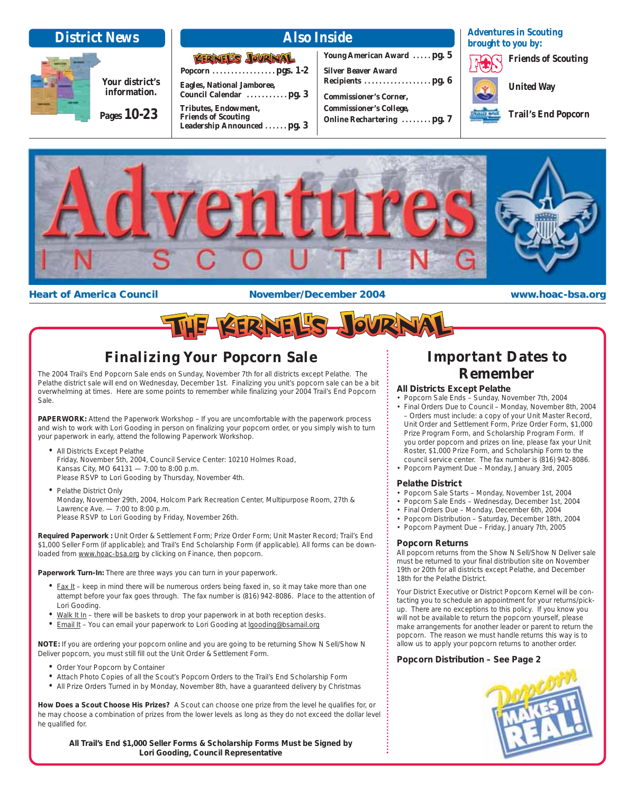

**Pages 10-23**

**Your district's information.**

**Popcorn . . . . . . . . . . . . . . . . . pgs. 1-2**

KERNEL'S JOURNAL

**Council Calendar . . . . . . . . . . . pg. 3**

**Eagles, National Jamboree,**

**Tributes, Endowment, Friends of Scouting** 

**Young American Award . . . . . pg. 5 Silver Beaver Award Recipients . . . . . . . . . . . . . . . . . . pg. 6 Commissioner's Corner, Commissioner's College, Online Rechartering . . . . . . . . pg. 7** **Adventures in Scouting brought to you by:**

**Friends of Scouting**

**United Way**

**Trail's End Popcorn**



### **Heart of America Council <b>the Council Constant America** November/December 2004 **www.hoac-bsa.org**



### **Finalizing Your Popcorn Sale**

The 2004 Trail's End Popcorn Sale ends on Sunday, November 7th for all districts except Pelathe. The Pelathe district sale will end on Wednesday, December 1st. Finalizing you unit's popcorn sale can be a bit overwhelming at times. Here are some points to remember while finalizing your 2004 Trail's End Popcorn Sale.

PAPERWORK: Attend the Paperwork Workshop - If you are uncomfortable with the paperwork process and wish to work with Lori Gooding in person on finalizing your popcorn order, or you simply wish to turn your paperwork in early, attend the following Paperwork Workshop.

- All Districts Except Pelathe Friday, November 5th, 2004, Council Service Center: 10210 Holmes Road, Kansas City, MO 64131 — 7:00 to 8:00 p.m. Please RSVP to Lori Gooding by Thursday, November 4th.
- Pelathe District Only Monday, November 29th, 2004, Holcom Park Recreation Center, Multipurpose Room, 27th & Lawrence Ave. — 7:00 to 8:00 p.m. Please RSVP to Lori Gooding by Friday, November 26th.

**Required Paperwork :** Unit Order & Settlement Form; Prize Order Form; Unit Master Record; Trail's End \$1,000 Seller Form (if applicable); and Trail's End Scholarship Form (if applicable). All forms can be downloaded from www.hoac-bsa.org by clicking on Finance, then popcorn.

**Paperwork Turn-In:** There are three ways you can turn in your paperwork.

- $Fax It keep in mind there will be numerous orders being faxed in, so it may take more than one$ </u> attempt before your fax goes through. The fax number is (816) 942-8086. Place to the attention of Lori Gooding.
- Walk It In there will be baskets to drop your paperwork in at both reception desks.
- Email It You can email your paperwork to Lori Gooding at lgooding@bsamail.org

**NOTE:** If you are ordering your popcorn online and you are going to be returning Show N Sell/Show N Deliver popcorn, you must still fill out the Unit Order & Settlement Form.

- Order Your Popcorn by Container
- Attach Photo Copies of all the Scout's Popcorn Orders to the Trail's End Scholarship Form
- All Prize Orders Turned in by Monday, November 8th, have a guaranteed delivery by Christmas

**How Does a Scout Choose His Prizes?** A Scout can choose one prize from the level he qualifies for, or he may choose a combination of prizes from the lower levels as long as they do not exceed the dollar level he qualified for.

**All Trail's End \$1,000 Seller Forms & Scholarship Forms Must be Signed by Lori Gooding, Council Representative**

### **Important Dates to Remember**

### **All Districts Except Pelathe**

- Popcorn Sale Ends Sunday, November 7th, 2004
- Final Orders Due to Council Monday, November 8th, 2004 – Orders must include: a copy of your Unit Master Record, Unit Order and Settlement Form, Prize Order Form, \$1,000 Prize Program Form, and Scholarship Program Form. If you order popcorn and prizes on line, please fax your Unit Roster, \$1,000 Prize Form, and Scholarship Form to the council service center. The fax number is (816) 942-8086.
- Popcorn Payment Due Monday, January 3rd, 2005

### **Pelathe District**

- Popcorn Sale Starts Monday, November 1st, 2004
- Popcorn Sale Ends Wednesday, December 1st, 2004
- Final Orders Due Monday, December 6th, 2004
- Popcorn Distribution Saturday, December 18th, 2004
- Popcorn Payment Due Friday, January 7th, 2005

### **Popcorn Returns**

All popcorn returns from the Show N Sell/Show N Deliver sale must be returned to your final distribution site on November 19th or 20th for all districts except Pelathe, and December 18th for the Pelathe District.

Your District Executive or District Popcorn Kernel will be contacting you to schedule an appointment for your returns/pickup. There are no exceptions to this policy. If you know you will not be available to return the popcorn yourself, please make arrangements for another leader or parent to return the popcorn. The reason we must handle returns this way is to allow us to apply your popcorn returns to another order.

### **Popcorn Distribution – See Page 2**

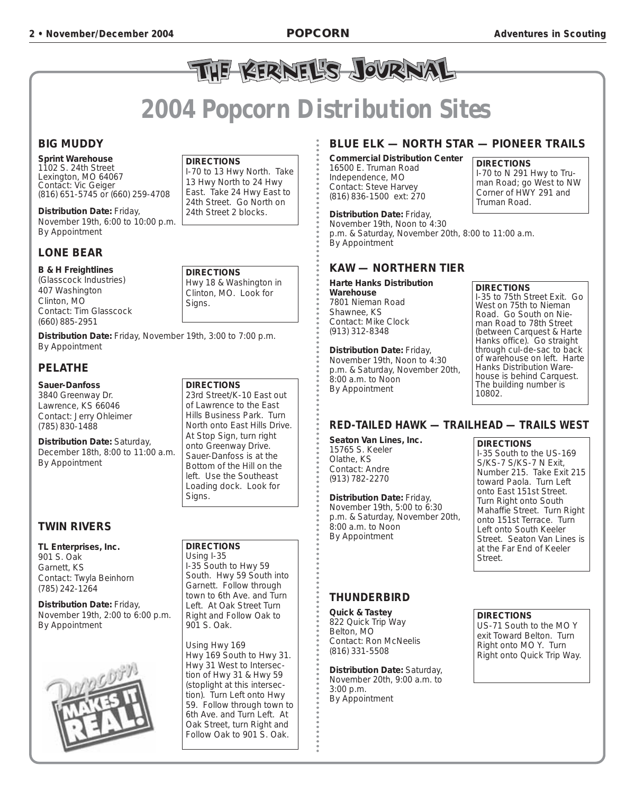# THE BERNEL'S JOURNAL

# **2004 Popcorn Distribution Sites**

### **BIG MUDDY**

**Sprint Warehouse** 1102 S. 24th Street Lexington, MO 64067 Contact: *Vic Geiger* (816) 651-5745 or (660) 259-4708

**Distribution Date:** Friday, November 19th, 6:00 to 10:00 p.m. By Appointment

### **LONE BEAR**

### **B & H Freightlines**

(Glasscock Industries) 407 Washington Clinton, MO Contact: *Tim Glasscock* (660) 885-2951

**Distribution Date:** Friday, November 19th, 3:00 to 7:00 p.m. By Appointment

### **PELATHE**

### **Sauer-Danfoss**

3840 Greenway Dr. Lawrence, KS 66046 Contact: *Jerry Ohleimer* (785) 830-1488

**Distribution Date:** Saturday, December 18th, 8:00 to 11:00 a.m. By Appointment

### **TWIN RIVERS**

**TL Enterprises, Inc.** 901 S. Oak Garnett, KS Contact: *Twyla Beinhorn* (785) 242-1264

**Distribution Date:** Friday, November 19th, 2:00 to 6:00 p.m. By Appointment



### **DIRECTIONS**

I-70 to 13 Hwy North. Take 13 Hwy North to 24 Hwy East. Take 24 Hwy East to 24th Street. Go North on 24th Street 2 blocks.

**DIRECTIONS** Hwy 18 & Washington in Clinton, MO. Look for Signs.

23rd Street/K-10 East out of Lawrence to the East Hills Business Park. Turn North onto East Hills Drive. At Stop Sign, turn right onto Greenway Drive. Sauer-Danfoss is at the Bottom of the Hill on the left. Use the Southeast Loading dock. Look for

### **BLUE ELK — NORTH STAR — PIONEER TRAILS**

**Commercial Distribution Center** 16500 E. Truman Road Independence, MO Contact: *Steve Harvey* (816) 836-1500 ext: 270

**DIRECTIONS** I-70 to N 291 Hwy to Truman Road; go West to NW Corner of HWY 291 and Truman Road.

**Distribution Date:** Friday, November 19th, Noon to 4:30 p.m. & Saturday, November 20th, 8:00 to 11:00 a.m. By Appointment

### **KAW — NORTHERN TIER**

**Harte Hanks Distribution Warehouse** 7801 Nieman Road Shawnee, KS Contact: *Mike Clock* (913) 312-8348

**Distribution Date:** Friday, November 19th, Noon to 4:30 p.m. & Saturday, November 20th, 8:00 a.m. to Noon By Appointment

### **DIRECTIONS**

I-35 to 75th Street Exit. Go West on 75th to Nieman Road. Go South on Nieman Road to 78th Street (between Carquest & Harte Hanks office). Go straight through cul-de-sac to back of warehouse on left. Harte Hanks Distribution Warehouse is behind Carquest. The building number is 10802.

### **RED-TAILED HAWK — TRAILHEAD — TRAILS WEST**

**Seaton Van Lines, Inc.** 15765 S. Keeler Olathe, KS Contact: *Andre* (913) 782-2270

**Distribution Date:** Friday, November 19th, 5:00 to 6:30 p.m. & Saturday, November 20th, 8:00 a.m. to Noon By Appointment

### **THUNDERBIRD**

**Quick & Tastey** 822 Quick Trip Way Belton, MO Contact: *Ron McNeelis* (816) 331-5508

**Distribution Date:** Saturday, November 20th, 9:00 a.m. to 3:00 p.m. By Appointment

### **DIRECTIONS**

I-35 South to the US-169 S/KS-7 S/KS-7 N Exit, Number 215. Take Exit 215 toward Paola. Turn Left onto East 151st Street. Turn Right onto South Mahaffie Street. Turn Right onto 151st Terrace. Turn Left onto South Keeler Street. Seaton Van Lines is at the Far End of Keeler Street.

### **DIRECTIONS**

US-71 South to the MO Y exit Toward Belton. Turn Right onto MO Y. Turn Right onto Quick Trip Way.



**DIRECTIONS**

Signs.

**DIRECTIONS** Using I-35

901 S. Oak.

Using Hwy 169

Hwy 169 South to Hwy 31. Hwy 31 West to Intersection of Hwy 31 & Hwy 59 (stoplight at this intersection). Turn Left onto Hwy 59. Follow through town to 6th Ave. and Turn Left. At Oak Street, turn Right and Follow Oak to 901 S. Oak.

I-35 South to Hwy 59 South. Hwy 59 South into Garnett. Follow through town to 6th Ave. and Turn Left. At Oak Street Turn Right and Follow Oak to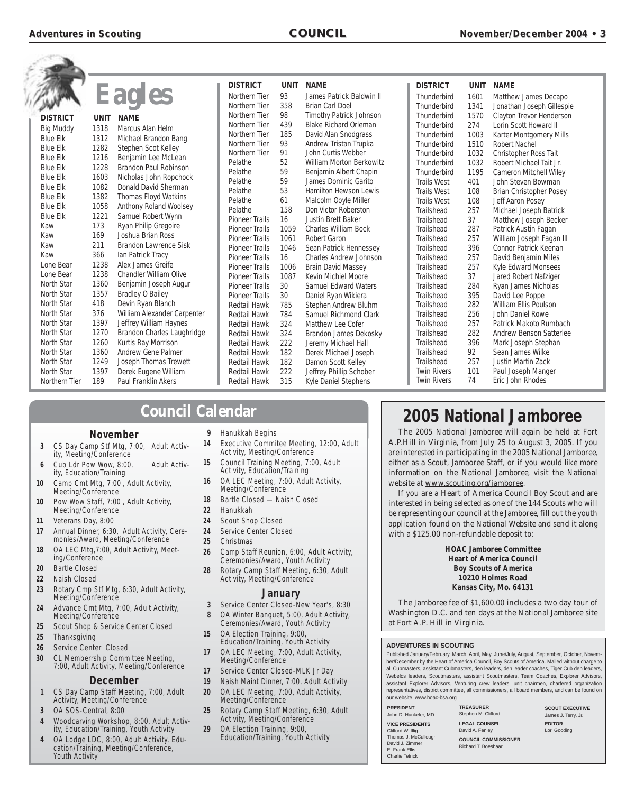$\overline{\phantom{a}}$ 

|                   |             |                               | <b>DISTRICT</b>       | <b>UNIT</b> | <b>NAME</b>                     | <b>DISTRICT</b>                          | <b>UNIT</b> | <b>NAME</b>                            |
|-------------------|-------------|-------------------------------|-----------------------|-------------|---------------------------------|------------------------------------------|-------------|----------------------------------------|
|                   |             | Eagles                        | <b>Northern Tier</b>  | 93          | James Patrick Baldwin II        | Thunderbird                              | 1601        | Matthew James Decapo                   |
|                   |             |                               | <b>Northern Tier</b>  | 358         | <b>Brian Carl Doel</b>          | Thunderbird                              | 1341        | Jonathan Joseph Gillespie              |
| <b>DISTRICT</b>   | <b>UNIT</b> | <b>NAME</b>                   | Northern Tier         | 98          | <b>Timothy Patrick Johnson</b>  | Thunderbird                              | 1570        | Clayton Trevor Henderson               |
| <b>Big Muddy</b>  | 1318        | Marcus Alan Helm              | Northern Tier         | 439         | <b>Blake Richard Orleman</b>    | Thunderbird                              | 274         | Lorin Scott Howard II                  |
| <b>Blue Elk</b>   | 1312        | Michael Brandon Bang          | Northern Tier         | 185         | David Alan Snodgrass            | Thunderbird                              | 1003        | Karter Montgomery Mills                |
| <b>Blue Elk</b>   | 1282        | Stephen Scot Kelley           | Northern Tier         | 93          | Andrew Tristan Trupka           | Thunderbird                              | 1510        | <b>Robert Nachel</b>                   |
| <b>Blue Elk</b>   | 1216        | Benjamin Lee McLean           | Northern Tier         | 91          | John Curtis Webber              | Thunderbird                              | 1032        | Christopher Ross Tait                  |
| <b>Blue Elk</b>   | 1228        | <b>Brandon Paul Robinson</b>  | Pelathe               | 52          | <b>William Morton Berkowitz</b> | Thunderbird                              | 1032        | Robert Michael Tait Jr.                |
| <b>Blue Elk</b>   | 1603        | Nicholas John Ropchock        | Pelathe               | 59          | Benjamin Albert Chapin          | Thunderbird                              | 1195        | <b>Cameron Mitchell Wiley</b>          |
| <b>Blue Elk</b>   | 1082        | Donald David Sherman          | Pelathe               | 59          | James Dominic Garito            | <b>Trails West</b>                       | 401         | John Steven Bowman                     |
| <b>Blue Elk</b>   | 1382        | Thomas Floyd Watkins          | Pelathe               | 53          | <b>Hamilton Hewson Lewis</b>    | <b>Trails West</b>                       | 108         | <b>Brian Christopher Posey</b>         |
| <b>Blue Elk</b>   | 1058        | Anthony Roland Woolsey        | Pelathe               | 61          | Malcolm Ooyle Miller            | <b>Trails West</b>                       | 108         | Jeff Aaron Posey                       |
| <b>Blue Elk</b>   | 1221        | Samuel Robert Wynn            | Pelathe               | 158         | Don Victor Roberston            | Trailshead                               | 257         | Michael Joseph Batrick                 |
| Kaw               | 173         | Ryan Philip Gregoire          | <b>Pioneer Trails</b> | 16          | <b>Justin Brett Baker</b>       | Trailshead                               | 37          | Matthew Joseph Becker                  |
|                   | 169         | Joshua Brian Ross             | <b>Pioneer Trails</b> | 1059        | <b>Charles William Bock</b>     | Trailshead                               | 287         | Patrick Austin Fagan                   |
| Kaw<br>Kaw        | 211         | <b>Brandon Lawrence Sisk</b>  | <b>Pioneer Trails</b> | 1061        | <b>Robert Garon</b>             | Trailshead                               | 257         | William Joseph Fagan III               |
| Kaw               | 366         |                               | <b>Pioneer Trails</b> | 1046        | Sean Patrick Hennessey          | Trailshead                               | 396         | <b>Connor Patrick Keenan</b>           |
|                   | 1238        | lan Patrick Tracy             | <b>Pioneer Trails</b> | 16          | <b>Charles Andrew Johnson</b>   | Trailshead                               | 257         | David Benjamin Miles                   |
| Lone Bear         |             | Alex James Greife             | <b>Pioneer Trails</b> | 1006        | <b>Brain David Massey</b>       | Trailshead                               | 257         | <b>Kyle Edward Monsees</b>             |
| Lone Bear         | 1238        | <b>Chandler William Olive</b> | <b>Pioneer Trails</b> | 1087        | <b>Kevin Michiel Moore</b>      | Trailshead                               | 37          | Jared Robert Nafziger                  |
| <b>North Star</b> | 1360        | Benjamin Joseph Augur         | <b>Pioneer Trails</b> | 30          | <b>Samuel Edward Waters</b>     | Trailshead                               | 284         | Ryan James Nicholas                    |
| North Star        | 1357        | <b>Bradley O Bailey</b>       | <b>Pioneer Trails</b> | 30          | Daniel Ryan Wikiera             | Trailshead                               | 395         | David Lee Poppe                        |
| North Star        | 418         | Devin Ryan Blanch             | <b>Redtail Hawk</b>   | 785         | Stephen Andrew Bluhm            | Trailshead                               | 282         | William Ellis Poulson                  |
| North Star        | 376         | William Alexander Carpenter   | <b>Redtail Hawk</b>   | 784         | Samuel Richmond Clark           | Trailshead                               | 256         | John Daniel Rowe                       |
| North Star        | 1397        | Jeffrey William Haynes        | <b>Redtail Hawk</b>   | 324         | Matthew Lee Cofer               | Trailshead                               | 257         | Patrick Makoto Rumbach                 |
| North Star        | 1270        | Brandon Charles Laughridge    | <b>Redtail Hawk</b>   | 324         | Brandon James Dekosky           | Trailshead                               | 282         | Andrew Benson Satterlee                |
| North Star        | 1260        | Kurtis Ray Morrison           | <b>Redtail Hawk</b>   | 222         | Jeremy Michael Hall             | Trailshead                               | 396         | Mark Joseph Stephan                    |
| North Star        | 1360        | <b>Andrew Gene Palmer</b>     | <b>Redtail Hawk</b>   | 182         | Derek Michael Joseph            | Trailshead                               | 92          | Sean James Wilke                       |
| North Star        | 1249        | Joseph Thomas Trewett         | <b>Redtail Hawk</b>   | 182         | Damon Scott Kelley              | Trailshead                               | 257         | <b>Justin Martin Zack</b>              |
| North Star        | 1397        | Derek Eugene William          | <b>Redtail Hawk</b>   | 222         | Jeffrey Phillip Schober         | <b>Twin Rivers</b><br><b>Twin Rivers</b> | 101<br>74   | Paul Joseph Manger<br>Eric John Rhodes |
| Northern Tier     | 189         | Paul Franklin Akers           | Redtail Hawk          | 315         | Kyle Daniel Stephens            |                                          |             |                                        |

### **Council Calendar**

### **November**

- **3** CS Day Camp Stf Mtg, 7:00, Adult Activity, Meeting/Conference **6** Cub Ldr Pow Wow, 8:00, Adult Activity, Education/Training
- **10** Camp Cmt Mtg, 7:00 , Adult Activity, Meeting/Conference
- **10** Pow Wow Staff, 7:00 , Adult Activity, Meeting/Conference
- **11** Veterans Day, 8:00
- **17** Annual Dinner, 6:30, Adult Activity, Ceremonies/Award, Meeting/Conference
- **18** OA LEC Mtg,7:00, Adult Activity, Meeting/Conference
- **20** Bartle Closed
- **22** Naish Closed
- **23** Rotary Cmp Stf Mtg, 6:30, Adult Activity, Meeting/Conference
- **24** Advance Cmt Mtg, 7:00, Adult Activity, Meeting/Conference
- **25** Scout Shop & Service Center Closed
- **25** Thanksgiving
- **26** Service Center Closed
- **30** CL Memberrship Committee Meeting, 7:00, Adult Activity, Meeting/Conference

### **December**

- **1** CS Day Camp Staff Meeting, 7:00, Adult Activity, Meeting/Conference
- **3** OA SOS-Central, 8:00
- **4** Woodcarving Workshop, 8:00, Adult Activity, Education/Training, Youth Activity
- **4** OA Lodge LDC, 8:00, Adult Activity, Education/Training, Meeting/Conference, Youth Activity
- **9** Hanukkah Begins
- **14** Executive Commitee Meeting, 12:00, Adult Activity, Meeting/Conference
- **15** Council Training Meeting, 7:00, Adult Activity, Education/Training
- **16** OA LEC Meeting, 7:00, Adult Activity, Meeting/Conference
- **18** Bartle Closed Naish Closed
- **22** Hanukkah
- **24** Scout Shop Closed
- **24** Service Center Closed
- **25** Christmas
- **26** Camp Staff Reunion, 6:00, Adult Activity, Ceremonies/Award, Youth Activity
- **28** Rotary Camp Staff Meeting, 6:30, Adult Activity, Meeting/Conference

### **January**

- **3** Service Center Closed-New Year's, 8:30 **8** OA Winter Banquet, 5:00, Adult Activity,
- Ceremonies/Award, Youth Activity
- **15** OA Election Training, 9:00, Education/Training, Youth Activity
- **17** OA LEC Meeting, 7:00, Adult Activity, Meeting/Conference
- **17** Service Center Closed-MLK Jr Day
- **19** Naish Maint Dinner, 7:00, Adult Activity
- **20** OA LEC Meeting, 7:00, Adult Activity, Meeting/Conference
- **25** Rotary Camp Staff Meeting, 6:30, Adult Activity, Meeting/Conference
- **29** OA Election Training, 9:00, Education/Training, Youth Activity

## **2005 National Jamboree**

The 2005 National Jamboree will again be held at Fort A.P.Hill in Virginia, from July 25 to August 3, 2005. If you are interested in participating in the 2005 National Jamboree, either as a Scout, Jamboree Staff, or if you would like more information on the National Jamboree, visit the National website at www.scouting.org/jamboree.

If you are a Heart of America Council Boy Scout and are interested in being selected as one of the 144 Scouts who will be representing our council at the Jamboree, fill out the youth application found on the National Website and send it along with a \$125.00 non-refundable deposit to:

### **HOAC Jamboree Committee Heart of America Council Boy Scouts of America 10210 Holmes Road Kansas City, Mo. 64131**

The Jamboree fee of \$1,600.00 includes a two day tour of Washington D.C. and ten days at the National Jamboree site at Fort A.P. Hill in Virginia.

### **ADVENTURES IN SCOUTING**

Published January/February, March, April, May, June/July, August, September, October, November/December by the Heart of America Council, Boy Scouts of America. Mailed without charge to all Cubmasters, assistant Cubmasters, den leaders, den leader coaches, Tiger Cub den leaders, Webelos leaders, Scoutmasters, assistant Scoutmasters, Team Coaches, Explorer Advisors, assistant Explorer Advisors, Venturing crew leaders, unit chairmen, chartered organization representatives, district committee, all commissioners, all board members, and can be found on our website, www.hoac-bsa.org

| <b>PRESIDENT</b><br>John D. Hunkeler, MD |  |  |  |  |
|------------------------------------------|--|--|--|--|
| <b>VICE PRESIDENTS</b>                   |  |  |  |  |
| Clifford W. Illig                        |  |  |  |  |
| Thomas J. McCullough                     |  |  |  |  |
| David J. Zimmer                          |  |  |  |  |
| E. Frank Ellis                           |  |  |  |  |
| <b>Charlie Tetrick</b>                   |  |  |  |  |

**TREASURER** en M. Clifford **LEGAL COUNSEL** d A. Fenley **NCIL COMMISSIONER** 

rd T. Boeshaar

**SCOUT EXECUTIVE** James J. Terry, Jr. **EDITOR** Lori Gooding

| ler, MD        | Steph         |
|----------------|---------------|
| ENTS           | LEG/<br>David |
| Cullough<br>эr | COU<br>Richa  |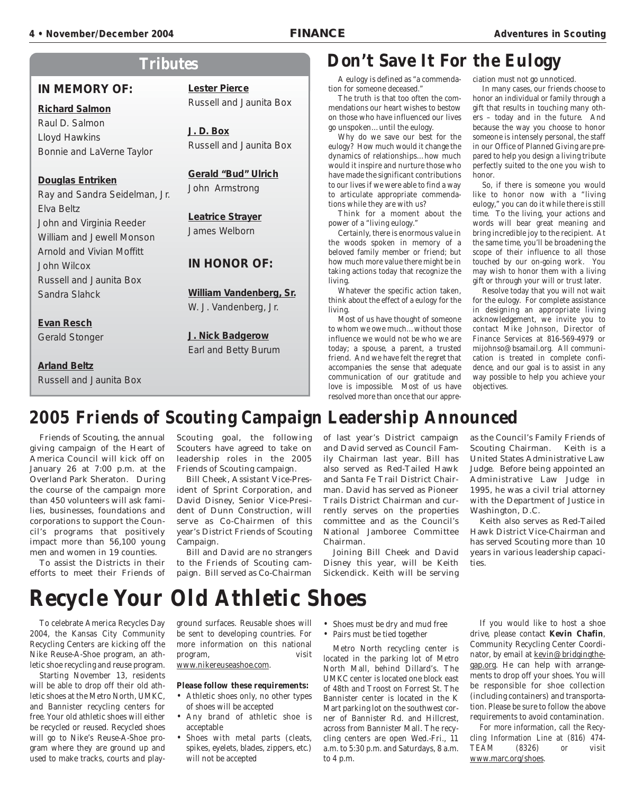### **4 • November/December 2004 • November/December 2004 FINANCE FINANCE Adventur Adventures in Scouting es in Scouting**

### **Tributes**

### **IN MEMORY OF:**

### **Richard Salmon**

Raul D. Salmon Lloyd Hawkins Bonnie and LaVerne Taylor

### **Douglas Entriken**

Ray and Sandra Seidelman, Jr. Elva Beltz John and Virginia Reeder William and Jewell Monson Arnold and Vivian Moffitt John Wilcox Russell and Jaunita Box Sandra Slahck

### **Evan Resch**

Gerald Stonger

**Arland Beltz** Russell and Jaunita Box **Lester Pierce**

Russell and Jaunita Box

### **J. D. Box** Russell and Jaunita Box

### **Gerald "Bud" Ulrich**

John Armstrong

### **Leatrice Strayer** James Welborn

### **IN HONOR OF:**

**William Vandenberg, Sr.** W. J. Vandenberg, Jr.

**J. Nick Badgerow** Earl and Betty Burum

# **Don't Save It For the Eulogy**

A eulogy is defined as "a commendation for someone deceased."

The truth is that too often the commendations our heart wishes to bestow on those who have influenced our lives go unspoken…until the eulogy.

Why do we save our best for the eulogy? How much would it change the dynamics of relationships…how much would it inspire and nurture those who have made the significant contributions to our lives if we were able to find a way to articulate appropriate commendations while they are with us?

Think for a moment about the power of a "living eulogy."

Certainly, there is enormous value in the woods spoken in memory of a beloved family member or friend; but how much more value there might be in taking actions today that recognize the living.

Whatever the specific action taken, think about the effect of a eulogy for the living.

Most of us have thought of someone to whom we owe much…without those influence we would not be who we are today; a spouse, a parent, a trusted friend. And we have felt the regret that accompanies the sense that adequate communication of our gratitude and love is impossible. Most of us have resolved more than once that our appreciation must not go unnoticed.

In many cases, our friends choose to honor an individual or family through a gift that results in touching many others – today and in the future. And because the way you choose to honor someone is intensely personal, the staff in our Office of Planned Giving are prepared to help you design a living tribute perfectly suited to the one you wish to honor.

So, if there is someone you would like to honor now with a "living eulogy," you can do it while there is still time. To the living, your actions and words will bear great meaning and bring incredible joy to the recipient. At the same time, you'll be broadening the scope of their influence to all those touched by our on-going work. You may wish to honor them with a living gift or through your will or trust later.

Resolve today that you will not wait for the eulogy. For complete assistance in designing an appropriate living acknowledgement, we invite you to contact Mike Johnson, Director of Finance Services at 816-569-4979 or mijohnso@bsamail.org. All communication is treated in complete confidence, and our goal is to assist in any way possible to help you achieve your objectives.

# **2005 Friends of Scouting Campaign Leadership Announced**

Friends of Scouting, the annual giving campaign of the Heart of America Council will kick off on January 26 at 7:00 p.m. at the Overland Park Sheraton. During the course of the campaign more than 450 volunteers will ask families, businesses, foundations and corporations to support the Council's programs that positively impact more than 56,100 young men and women in 19 counties.

To assist the Districts in their efforts to meet their Friends of Scouting goal, the following Scouters have agreed to take on leadership roles in the 2005 Friends of Scouting campaign.

Bill Cheek, Assistant Vice-President of Sprint Corporation, and David Disney, Senior Vice-President of Dunn Construction, will serve as Co-Chairmen of this year's District Friends of Scouting Campaign.

Bill and David are no strangers to the Friends of Scouting campaign. Bill served as Co-Chairman of last year's District campaign and David served as Council Family Chairman last year. Bill has also served as Red-Tailed Hawk and Santa Fe Trail District Chairman. David has served as Pioneer Trails District Chairman and currently serves on the properties committee and as the Council's National Jamboree Committee Chairman.

Joining Bill Cheek and David Disney this year, will be Keith Sickendick. Keith will be serving as the Council's Family Friends of Scouting Chairman. Keith is a United States Administrative Law Judge. Before being appointed an Administrative Law Judge in 1995, he was a civil trial attorney with the Department of Justice in Washington, D.C.

Keith also serves as Red-Tailed Hawk District Vice-Chairman and has served Scouting more than 10 years in various leadership capacities.

# **Recycle Your Old Athletic Shoes**

To celebrate America Recycles Day 2004, the Kansas City Community Recycling Centers are kicking off the Nike Reuse-A-Shoe program, an athletic shoe recycling and reuse program.

Starting November 13, residents will be able to drop off their old athletic shoes at the Metro North, UMKC, and Bannister recycling centers for free. Your old athletic shoes will either be recycled or reused. Recycled shoes will go to Nike's Reuse-A-Shoe program where they are ground up and used to make tracks, courts and playground surfaces. Reusable shoes will be sent to developing countries. For more information on this national program, visit

www.nikereuseashoe.com.

### **Please follow these requirements:**

- Athletic shoes only, no other types of shoes will be accepted
- Any brand of athletic shoe is acceptable
- Shoes with metal parts (cleats, spikes, eyelets, blades, zippers, etc.) will not be accepted
- Shoes must be dry and mud free
- Pairs must be tied together

Metro North recycling center is located in the parking lot of Metro North Mall, behind Dillard's. The UMKC center is located one block east of 48th and Troost on Forrest St. The Bannister center is located in the K Mart parking lot on the southwest corner of Bannister Rd. and Hillcrest, across from Bannister Mall. The recycling centers are open Wed.-Fri., 11 a.m. to 5:30 p.m. and Saturdays, 8 a.m. to 4 p.m.

If you would like to host a shoe drive, please contact **Kevin Chafin**, Community Recycling Center Coordinator, by email at kevin@bridgingthegap.org. He can help with arrangements to drop off your shoes. You will be responsible for shoe collection (including containers) and transportation. Please be sure to follow the above requirements to avoid contamination.

For more information, call the Recycling Information Line at (816) 474- TEAM (8326) or visit www.marc.org/shoes.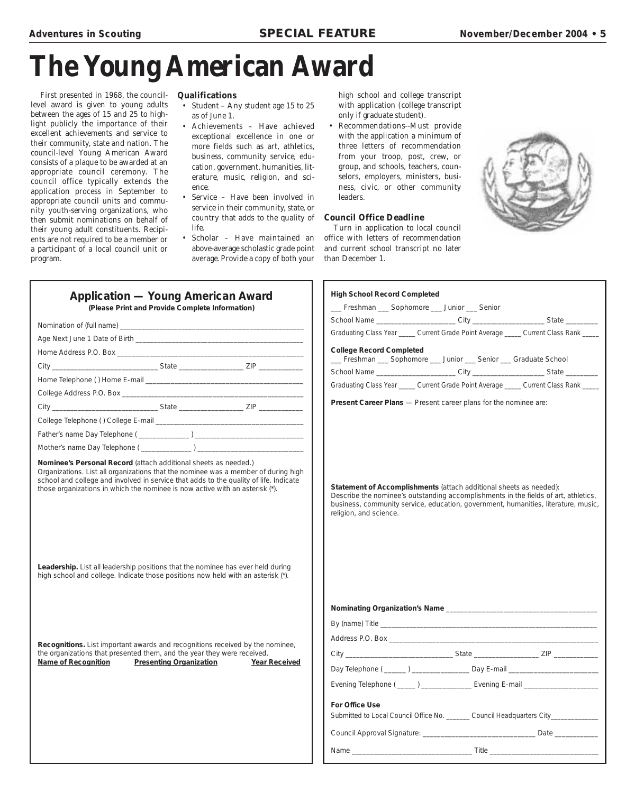# **The Young American Award**

First presented in 1968, the councillevel award is given to young adults between the ages of 15 and 25 to highlight publicly the importance of their excellent achievements and service to their community, state and nation. The council-level Young American Award consists of a plaque to be awarded at an appropriate council ceremony. The council office typically extends the application process in September to appropriate council units and community youth-serving organizations, who then submit nominations on behalf of their young adult constituents. Recipients are not required to be a member or a participant of a local council unit or program.

### **Qualifications**

- Student Any student age 15 to 25 as of June 1.
- Achievements Have achieved exceptional excellence in one or more fields such as art, athletics, business, community service, education, government, humanities, literature, music, religion, and science.
- Service Have been involved in service in their community, state, or country that adds to the quality of life.
	- Scholar Have maintained an above-average scholastic grade point average. Provide a copy of both your

high school and college transcript with application (college transcript only if graduate student).

• Recommendations--Must provide with the application a minimum of three letters of recommendation from your troop, post, crew, or group, and schools, teachers, counselors, employers, ministers, business, civic, or other community leaders.

### **Council Office Deadline**

Turn in application to local council office with letters of recommendation and current school transcript no later than December 1.



| <b>Application — Young American Award</b><br>(Please Print and Provide Complete Information)                                                                                                                                                                                                                                                                                                                                       | <b>High School Record Completed</b><br>__ Freshman __ Sophomore __ Junior __ Senior                                                                                                                                                                                       |
|------------------------------------------------------------------------------------------------------------------------------------------------------------------------------------------------------------------------------------------------------------------------------------------------------------------------------------------------------------------------------------------------------------------------------------|---------------------------------------------------------------------------------------------------------------------------------------------------------------------------------------------------------------------------------------------------------------------------|
|                                                                                                                                                                                                                                                                                                                                                                                                                                    | School Name _________________________City _________________________State _________                                                                                                                                                                                        |
|                                                                                                                                                                                                                                                                                                                                                                                                                                    | Graduating Class Year _____ Current Grade Point Average _____ Current Class Rank ____                                                                                                                                                                                     |
|                                                                                                                                                                                                                                                                                                                                                                                                                                    | <b>College Record Completed</b>                                                                                                                                                                                                                                           |
|                                                                                                                                                                                                                                                                                                                                                                                                                                    | __ Freshman __ Sophomore __ Junior __ Senior __ Graduate School                                                                                                                                                                                                           |
|                                                                                                                                                                                                                                                                                                                                                                                                                                    | School Name ________________________City _______________________State __________                                                                                                                                                                                          |
|                                                                                                                                                                                                                                                                                                                                                                                                                                    | Graduating Class Year _____ Current Grade Point Average _____ Current Class Rank ____                                                                                                                                                                                     |
|                                                                                                                                                                                                                                                                                                                                                                                                                                    | Present Career Plans - Present career plans for the nominee are:                                                                                                                                                                                                          |
|                                                                                                                                                                                                                                                                                                                                                                                                                                    |                                                                                                                                                                                                                                                                           |
|                                                                                                                                                                                                                                                                                                                                                                                                                                    |                                                                                                                                                                                                                                                                           |
|                                                                                                                                                                                                                                                                                                                                                                                                                                    |                                                                                                                                                                                                                                                                           |
|                                                                                                                                                                                                                                                                                                                                                                                                                                    |                                                                                                                                                                                                                                                                           |
| Organizations. List all organizations that the nominee was a member of during high<br>school and college and involved in service that adds to the quality of life. Indicate<br>those organizations in which the nominee is now active with an asterisk (*).<br>Leadership. List all leadership positions that the nominee has ever held during<br>high school and college. Indicate those positions now held with an asterisk (*). | Statement of Accomplishments (attach additional sheets as needed):<br>Describe the nominee's outstanding accomplishments in the fields of art, athletics,<br>business, community service, education, government, humanities, literature, music,<br>religion, and science. |
|                                                                                                                                                                                                                                                                                                                                                                                                                                    |                                                                                                                                                                                                                                                                           |
|                                                                                                                                                                                                                                                                                                                                                                                                                                    |                                                                                                                                                                                                                                                                           |
|                                                                                                                                                                                                                                                                                                                                                                                                                                    |                                                                                                                                                                                                                                                                           |
| Recognitions. List important awards and recognitions received by the nominee,                                                                                                                                                                                                                                                                                                                                                      |                                                                                                                                                                                                                                                                           |
| the organizations that presented them, and the year they were received.<br><b>Name of Recognition</b><br><b>Presenting Organization</b><br><b>Year Received</b>                                                                                                                                                                                                                                                                    |                                                                                                                                                                                                                                                                           |
|                                                                                                                                                                                                                                                                                                                                                                                                                                    | Day Telephone ( ______ ) _____________________ Day E-mail ______________________                                                                                                                                                                                          |
|                                                                                                                                                                                                                                                                                                                                                                                                                                    | Evening Telephone (_____) ________________ Evening E-mail ______________________                                                                                                                                                                                          |
|                                                                                                                                                                                                                                                                                                                                                                                                                                    | For Office Use<br>Submitted to Local Council Office No. _______ Council Headquarters City__________                                                                                                                                                                       |
|                                                                                                                                                                                                                                                                                                                                                                                                                                    |                                                                                                                                                                                                                                                                           |
|                                                                                                                                                                                                                                                                                                                                                                                                                                    |                                                                                                                                                                                                                                                                           |

| HIGH SCHOOL RECORD COMPIETED                                                                                                                                                                                                                                              |  |  |  |
|---------------------------------------------------------------------------------------------------------------------------------------------------------------------------------------------------------------------------------------------------------------------------|--|--|--|
| __ Freshman __ Sophomore __ Junior __ Senior                                                                                                                                                                                                                              |  |  |  |
| School Name __________________________City _________________________State ____________                                                                                                                                                                                    |  |  |  |
| Graduating Class Year _____ Current Grade Point Average _____ Current Class Rank _____                                                                                                                                                                                    |  |  |  |
| <b>College Record Completed</b><br>__ Freshman __ Sophomore __ Junior __ Senior __ Graduate School                                                                                                                                                                        |  |  |  |
| School Name _________________________City _______________________State _________                                                                                                                                                                                          |  |  |  |
| Graduating Class Year _____ Current Grade Point Average _____ Current Class Rank ____                                                                                                                                                                                     |  |  |  |
| Present Career Plans - Present career plans for the nominee are:                                                                                                                                                                                                          |  |  |  |
| Statement of Accomplishments (attach additional sheets as needed):<br>Describe the nominee's outstanding accomplishments in the fields of art, athletics,<br>business, community service, education, government, humanities, literature, music,<br>religion, and science. |  |  |  |

| Day Telephone ( ______ ) ___________________ Day E-mail ________________________                    |  |
|-----------------------------------------------------------------------------------------------------|--|
| Evening Telephone ( _____ ) _________________ Evening E-mail ___________________                    |  |
| For Office Use<br>Submitted to Local Council Office No. _______ Council Headquarters City__________ |  |
|                                                                                                     |  |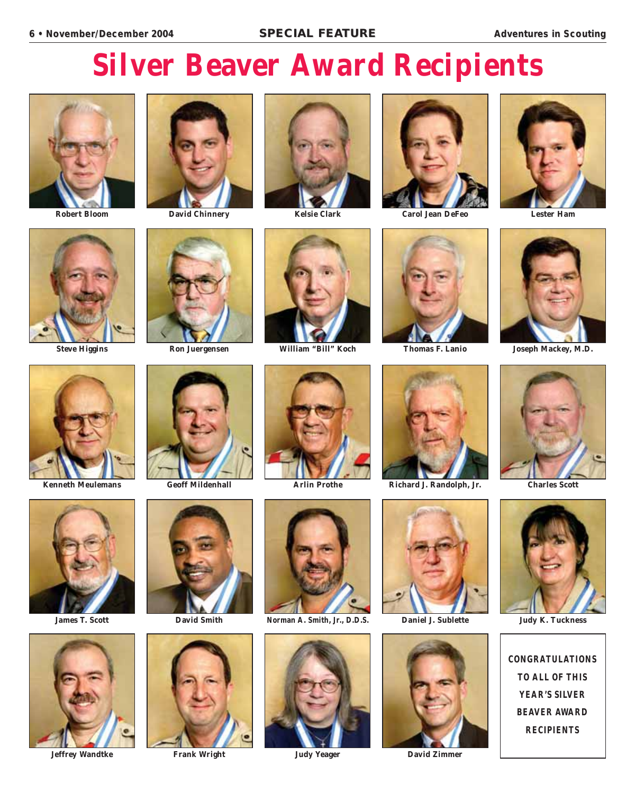# **Silver Beaver Award Recipients**









**Robert Bloom David Chinnery Kelsie Clark Carol Jean DeFeo Lester Ham**













**Steve Higgins Ron Juergensen William "Bill" Koch Thomas F. Lanio Joseph Mackey, M.D.** 













**CONGRATULATIONS TO ALL OF THIS YEAR'S SILVER BEAVER AWARD RECIPIENTS**





















**Jeffrey Wandtke Frank Wright Judy Yeager David Zimmer**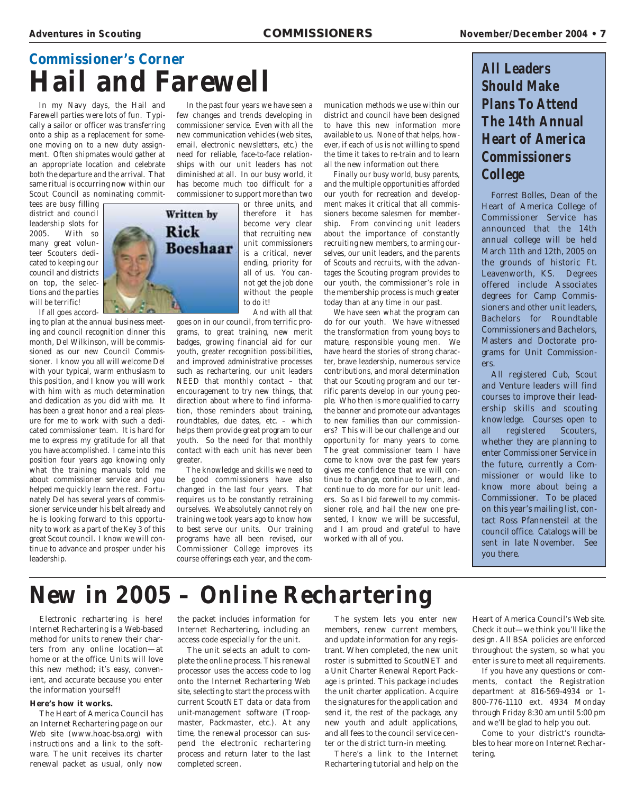# **Commissioner's Corner Hail and Farewell**

In my Navy days, the Hail and Farewell parties were lots of fun. Typically a sailor or officer was transferring onto a ship as a replacement for someone moving on to a new duty assignment. Often shipmates would gather at an appropriate location and celebrate both the departure and the arrival. That same ritual is occurring now within our Scout Council as nominating commit-

tees are busy filling district and council leadership slots for<br>2005. With so With so many great volunteer Scouters dedicated to keeping our council and districts on top, the selections and the parties will be terrific! If all goes accord-

ing to plan at the annual business meeting and council recognition dinner this month, Del Wilkinson, will be commissioned as our new Council Commissioner. I know you all will welcome Del with your typical, warm enthusiasm to this position, and I know you will work with him with as much determination and dedication as you did with me. It has been a great honor and a real pleasure for me to work with such a dedicated commissioner team. It is hard for me to express my gratitude for all that you have accomplished. I came into this position four years ago knowing only what the training manuals told me about commissioner service and you helped me quickly learn the rest. Fortunately Del has several years of commissioner service under his belt already and he is looking forward to this opportunity to work as a part of the Key 3 of this great Scout council. I know we will continue to advance and prosper under his leadership.



In the past four years we have seen a few changes and trends developing in commissioner service. Even with all the new communication vehicles (web sites, email, electronic newsletters, etc.) the need for reliable, face-to-face relationships with our unit leaders has not diminished at all. In our busy world, it has become much too difficult for a commissioner to support more than two

> or three units, and therefore it has become very clear that recruiting new unit commissioners is a critical, never ending, priority for all of us. You cannot get the job done without the people to do it! And with all that

goes on in our council, from terrific programs, to great training, new merit badges, growing financial aid for our youth, greater recognition possibilities, and improved administrative processes such as rechartering, our unit leaders NEED that monthly contact – that encouragement to try new things, that direction about where to find information, those reminders about training, roundtables, due dates, etc. – which helps them provide great program to our youth. So the need for that monthly contact with each unit has never been greater.

The knowledge and skills we need to be good commissioners have also changed in the last four years. That requires us to be constantly retraining ourselves. We absolutely cannot rely on training we took years ago to know how to best serve our units. Our training programs have all been revised, our Commissioner College improves its course offerings each year, and the communication methods we use within our district and council have been designed to have this new information more available to us. None of that helps, however, if each of us is not willing to spend the time it takes to re-train and to learn all the new information out there.

Finally our busy world, busy parents, and the multiple opportunities afforded our youth for recreation and development makes it critical that all commissioners become salesmen for membership. From convincing unit leaders about the importance of constantly recruiting new members, to arming ourselves, our unit leaders, and the parents of Scouts and recruits, with the advantages the Scouting program provides to our youth, the commissioner's role in the membership process is much greater today than at any time in our past.

We have seen what the program can do for our youth. We have witnessed the transformation from young boys to mature, responsible young men. We have heard the stories of strong character, brave leadership, numerous service contributions, and moral determination that our Scouting program and our terrific parents develop in our young people. Who then is more qualified to carry the banner and promote our advantages to new families than our commissioners? This will be our challenge and our opportunity for many years to come. The great commissioner team I have come to know over the past few years gives me confidence that we will continue to change, continue to learn, and continue to do more for our unit leaders. So as I bid farewell to my commissioner role, and hail the new one presented, I know we will be successful, and I am proud and grateful to have worked with all of you.

### **All Leaders Should Make Plans To Attend The 14th Annual Heart of America Commissioners College**

Forrest Bolles, Dean of the Heart of America College of Commissioner Service has announced that the 14th annual college will be held March 11th and 12th, 2005 on the grounds of historic Ft. Leavenworth, KS. Degrees offered include Associates degrees for Camp Commissioners and other unit leaders, Bachelors for Roundtable Commissioners and Bachelors, Masters and Doctorate programs for Unit Commissioners.

All registered Cub, Scout and Venture leaders will find courses to improve their leadership skills and scouting knowledge. Courses open to all registered Scouters, whether they are planning to enter Commissioner Service in the future, currently a Commissioner or would like to know more about being a Commissioner. To be placed on this year's mailing list, contact Ross Pfannensteil at the council office. Catalogs will be sent in late November. See you there.

# **New in 2005 – Online Rechartering**

*Electronic rechartering is here!* Internet Rechartering is a Web-based method for units to renew their charters from any online location—at home or at the office. Units will love this new method; it's easy, convenient, and accurate because you enter the information yourself!

### **Here's how it works.**

The Heart of America Council has an Internet Rechartering page on our Web site (www.hoac-bsa.org) with instructions and a link to the software. The unit receives its charter renewal packet as usual, only now

the packet includes information for Internet Rechartering, including an access code especially for the unit.

The unit selects an adult to complete the online process. This renewal processor uses the access code to log onto the Internet Rechartering Web site, selecting to start the process with current ScoutNET data or data from unit-management software (Troopmaster, Packmaster, etc.). At any time, the renewal processor can suspend the electronic rechartering process and return later to the last completed screen.

The system lets you enter new members, renew current members, and update information for any registrant. When completed, the new unit roster is submitted to ScoutNET and a Unit Charter Renewal Report Package is printed. This package includes the unit charter application. Acquire the signatures for the application and send it, the rest of the package, any new youth and adult applications, and all fees to the council service center or the district turn-in meeting.

There's a link to the Internet Rechartering tutorial and help on the

Heart of America Council's Web site. Check it out—we think you'll like the design. All BSA policies are enforced throughout the system, so what you enter is sure to meet all requirements.

If you have any questions or comments, contact the Registration department at 816-569-4934 or 1- 800-776-1110 ext. 4934 Monday through Friday 8:30 am until 5:00 pm and we'll be glad to help you out.

Come to your district's roundtables to hear more on Internet Rechartering.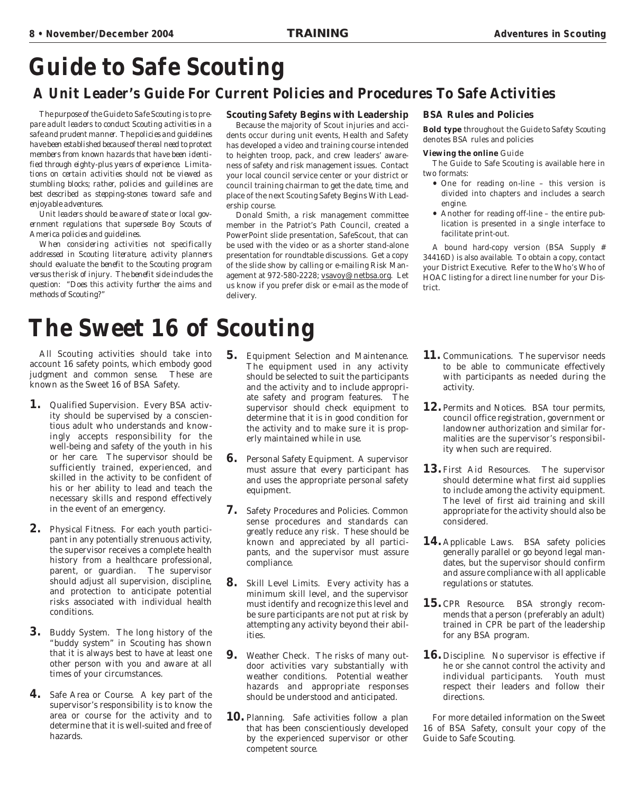# **Guide to Safe Scouting**

### **A Unit Leader's Guide For Current Policies and Procedures To Safe Activities**

*The purpose of the Guide to Safe Scouting is to prepare adult leaders to conduct Scouting activities in a safe and prudent manner. The policies and guidelines have been established because of the real need to protect members from known hazards that have been identified through eighty-plus years of experience. Limitations on certain activities should not be viewed as stumbling blocks; rather, policies and guilelines are best described as stepping-stones toward safe and enjoyable adventures.*

*Unit leaders should be aware of state or local government regulations that supersede Boy Scouts of America policies and guidelines.*

*When considering activities not specifically addressed in Scouting literature, activity planners should evaluate the benefit to the Scouting program versus the risk of injury. The benefit side includes the question: "Does this activity further the aims and methods of Scouting?"*

### **Scouting Safety Begins with Leadership**

Because the majority of Scout injuries and accidents occur during unit events, Health and Safety has developed a video and training course intended to heighten troop, pack, and crew leaders' awareness of safety and risk management issues. Contact your local council service center or your district or council training chairman to get the date, time, and place of the next Scouting Safety Begins With Leadership course.

Donald Smith, a risk management committee member in the Patriot's Path Council, created a PowerPoint slide presentation, SafeScout, that can be used with the video or as a shorter stand-alone presentation for roundtable discussions. Get a copy of the slide show by calling or e-mailing Risk Management at 972-580-2228; vsavoy@netbsa.org. Let us know if you prefer disk or e-mail as the mode of delivery.

### **BSA Rules and Policies**

**Bold type** throughout the *Guide to Safety Scouting* denotes BSA rules and policies

### **Viewing the online** Guide

The Guide to Safe Scouting is available here in two formats:

- One for reading on-line this version is divided into chapters and includes a search engine.
- Another for reading off-line the entire publication is presented in a single interface to facilitate print-out.

A bound hard-copy version (BSA Supply # 34416D) is also available. To obtain a copy, contact your District Executive. Refer to the Who's Who of HOAC listing for a direct line number for your District.

# **The Sweet 16 of Scouting**

All Scouting activities should take into account 16 safety points, which embody good judgment and common sense. These are known as the Sweet 16 of BSA Safety.

- **1.** Qualified Supervision. Every BSA activity should be supervised by a conscientious adult who understands and knowingly accepts responsibility for the well-being and safety of the youth in his or her care. The supervisor should be sufficiently trained, experienced, and skilled in the activity to be confident of his or her ability to lead and teach the necessary skills and respond effectively in the event of an emergency.
- **2.** Physical Fitness. For each youth participant in any potentially strenuous activity, the supervisor receives a complete health history from a healthcare professional, parent, or guardian. The supervisor should adjust all supervision, discipline, and protection to anticipate potential risks associated with individual health conditions.
- **3.** Buddy System. The long history of the "buddy system" in Scouting has shown that it is always best to have at least one other person with you and aware at all times of your circumstances.
- **4.** Safe Area or Course. A key part of the supervisor's responsibility is to know the area or course for the activity and to determine that it is well-suited and free of hazards.
- **5.** Equipment Selection and Maintenance. The equipment used in any activity should be selected to suit the participants and the activity and to include appropriate safety and program features. The supervisor should check equipment to determine that it is in good condition for the activity and to make sure it is properly maintained while in use.
- **6.** Personal Safety Equipment. A supervisor must assure that every participant has and uses the appropriate personal safety equipment.
- **7.** Safety Procedures and Policies. Common sense procedures and standards can greatly reduce any risk. These should be known and appreciated by all participants, and the supervisor must assure compliance.
- **8.** Skill Level Limits. Every activity has a minimum skill level, and the supervisor must identify and recognize this level and be sure participants are not put at risk by attempting any activity beyond their abilities.
- **9.** Weather Check. The risks of many outdoor activities vary substantially with weather conditions. Potential weather hazards and appropriate responses should be understood and anticipated.
- **10.** Planning. Safe activities follow a plan that has been conscientiously developed by the experienced supervisor or other competent source.
- **11.** Communications. The supervisor needs to be able to communicate effectively with participants as needed during the activity.
- **12.** Permits and Notices. BSA tour permits, council office registration, government or landowner authorization and similar formalities are the supervisor's responsibility when such are required.
- **13.** First Aid Resources. The supervisor should determine what first aid supplies to include among the activity equipment. The level of first aid training and skill appropriate for the activity should also be considered.
- 14. Applicable Laws. BSA safety policies generally parallel or go beyond legal mandates, but the supervisor should confirm and assure compliance with all applicable regulations or statutes.
- 15. CPR Resource. BSA strongly recommends that a person (preferably an adult) trained in CPR be part of the leadership for any BSA program.
- **16.** Discipline. No supervisor is effective if he or she cannot control the activity and individual participants. Youth must respect their leaders and follow their directions.

For more detailed information on the Sweet 16 of BSA Safety, consult your copy of the Guide to Safe Scouting.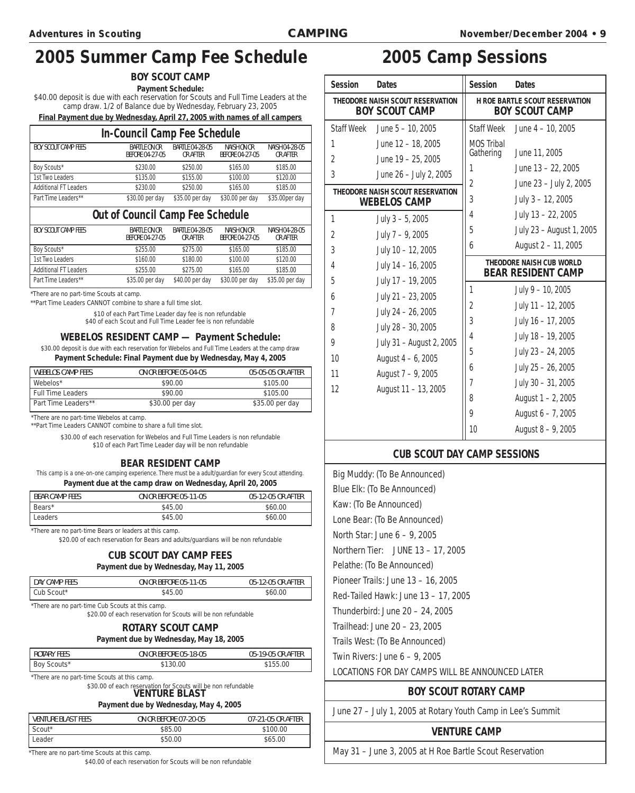## **2005 Summer Camp Fee Schedule 2005 Camp Sessions**

**BOY SCOUT CAMP**

**Payment Schedule:** \$40.00 deposit is due with each reservation for Scouts and Full Time Leaders at the camp draw. 1/2 of Balance due by Wednesday, February 23, 2005

**Final Payment due by Wednesday, April 27, 2005 with names of all campers**

### **In-Council Camp Fee Schedule**

| <b>BOY SCOUT CAMP FEES</b> | <b>BARTLE ON OR</b><br><b>BEFORE 04-27-05</b> | <b>BARTLE 04-28-05</b><br><b>OR AFTER</b> | <b>NAISH ON OR</b><br><b>BEFORE 04-27-05</b> | <b>NAISH 04-28-05</b><br>OR AFTER |  |  |
|----------------------------|-----------------------------------------------|-------------------------------------------|----------------------------------------------|-----------------------------------|--|--|
| Boy Scouts*                | \$230.00                                      | \$250.00                                  | \$165.00                                     | \$185.00                          |  |  |
| 1st Two Leaders            | \$135.00                                      | \$155.00                                  | \$100.00                                     | \$120.00                          |  |  |
| Additional FT Leaders      | \$230.00                                      | \$250.00                                  | \$165.00                                     | \$185.00                          |  |  |
| Part Time Leaders**        | \$30.00 per day                               | \$35.00 per day                           | \$30.00 per day                              | \$35.00 per day                   |  |  |

### **Out of Council Camp Fee Schedule**

| <b>BOY SCOUT CAMP FEES</b>   | <b>BARTLE ON OR</b><br><b>BEFORE 04-27-05</b> | <b>BARTLE 04-28-05</b><br><b>OR AFTER</b> | NAISH ON OR<br><b>BEFORE 04-27-05</b> | <b>NAISH 04-28-05</b><br><b>OR AFTER</b> |
|------------------------------|-----------------------------------------------|-------------------------------------------|---------------------------------------|------------------------------------------|
| Boy Scouts*                  | \$255.00                                      | \$275.00                                  | \$165.00                              | \$185.00                                 |
| 1st Two Leaders              | \$160.00                                      | \$180.00                                  | \$100.00                              | \$120.00                                 |
| <b>Additional FT Leaders</b> | \$255.00                                      | \$275.00                                  | \$165.00                              | \$185.00                                 |
| Part Time Leaders**          | \$35.00 per day                               | \$40.00 per day                           | \$30.00 per day                       | \$35.00 per day                          |

\*There are no part-time Scouts at camp.

\*\*Part Time Leaders CANNOT combine to share a full time slot.

\$10 of each Part Time Leader day fee is non refundable \$40 of each Scout and Full Time Leader fee is non refundable

**WEBELOS RESIDENT CAMP — Payment Schedule:**

\$30.00 deposit is due with each reservation for Webelos and Full Time Leaders at the camp draw **Payment Schedule: Final Payment due by Wednesday, May 4, 2005**

| <b>WEBELOS CAMP FEES</b> | <b>ON OR BEFORE 05-04-05</b> | 05-05-05 OR AFTER |
|--------------------------|------------------------------|-------------------|
| Webelos*                 | \$90.00                      | \$105.00          |
| <b>Full Time Leaders</b> | \$90.00                      | \$105.00          |
| Part Time Leaders**      | \$30.00 per day              | \$35.00 per day   |

\*There are no part-time Webelos at camp.

\*\*Part Time Leaders CANNOT combine to share a full time slot.

\$30.00 of each reservation for Webelos and Full Time Leaders is non refundable \$10 of each Part Time Leader day will be non refundable

### **BEAR RESIDENT CAMP**

This camp is a one-on-one camping experience. There must be a adult/guardian for every Scout attending. **Payment due at the camp draw on Wednesday, April 20, 2005**

| <b>BEAR CAMP FEES</b> | <b>ON OR BEFORE 05-11-05</b> | 05-12-05 OR AFTER |
|-----------------------|------------------------------|-------------------|
| Bears*                | \$45.00                      | \$60.00           |
| Leaders               | \$45.00                      | \$60.00           |

\*There are no part-time Bears or leaders at this camp.

\$20.00 of each reservation for Bears and adults/guardians will be non refundable

### **CUB SCOUT DAY CAMP FEES Payment due by Wednesday, May 11, 2005**

| DAY CAMP FEES                                    | <b>ON OR BEFORE 05-11-05</b> | 05-12-05 OR AFTER |
|--------------------------------------------------|------------------------------|-------------------|
| Cub Scout*                                       | \$45.00                      | \$60.00           |
| *There are no part-time Cub Scouts at this camp. |                              |                   |

\$20.00 of each reservation for Scouts will be non refundable

### **ROTARY SCOUT CAMP**

**Payment due by Wednesday, May 18, 2005**

| ROTARY FEES | <b>ON OR BEFORE 05-18-05</b> | 05-19-05 OR AFTER |
|-------------|------------------------------|-------------------|
| Boy Scouts* | \$130.00                     | \$155.00          |
|             |                              |                   |

\*There are no part-time Scouts at this camp.

\$30.00 of each reservation for Scouts will be non refundable

**VENTURE BLAST Payment due by Wednesday, May 4, 2005**

| <b>VENTURE BLAST FEES</b> | <b>ON OR BEFORE 07-20-05</b> | 07-21-05 OR AFTER |
|---------------------------|------------------------------|-------------------|
| Scout*                    | \$85.00                      | \$100.00          |
| Leader                    | \$50.00                      | \$65.00           |

\*There are no part-time Scouts at this camp.

\$40.00 of each reservation for Scouts will be non refundable

| <b>Session</b>                                            | <b>Dates</b>                     | <b>Session</b>                                                 | <b>Dates</b>                                          |
|-----------------------------------------------------------|----------------------------------|----------------------------------------------------------------|-------------------------------------------------------|
| THEODORE NAISH SCOUT RESERVATION<br><b>BOY SCOUT CAMP</b> |                                  | <b>H ROE BARTLE SCOUT RESERVATION</b><br><b>BOY SCOUT CAMP</b> |                                                       |
| <b>Staff Week</b>                                         | June $5 - 10$ , 2005             | <b>Staff Week</b>                                              | June 4 - 10, 2005                                     |
| 1                                                         | June 12 - 18, 2005               | <b>MOS Tribal</b>                                              |                                                       |
| 2                                                         | June $19 - 25$ , 2005            | Gathering                                                      | June 11, 2005                                         |
| 3                                                         | June 26 - July 2, 2005           | 1                                                              | June 13 - 22, 2005                                    |
|                                                           | THEODORE NAISH SCOUT RESERVATION | 2                                                              | June 23 - July 2, 2005                                |
|                                                           | <b>WEBELOS CAMP</b>              | 3                                                              | July 3 - 12, 2005                                     |
| 1                                                         | July $3 - 5$ , 2005              | 4                                                              | July 13 - 22, 2005                                    |
| $\overline{2}$                                            | July $7 - 9$ , 2005              | 5                                                              | July 23 - August 1, 2005                              |
| 3                                                         | July 10 - 12, 2005               | 6                                                              | August 2 - 11, 2005                                   |
| 4                                                         | July 14 - 16, 2005               |                                                                | THEODORE NAISH CUB WORLD<br><b>BEAR RESIDENT CAMP</b> |
| 5                                                         | July 17 - 19, 2005               | 1                                                              | July 9 - 10, 2005                                     |
| 6                                                         | July 21 - 23, 2005               | $\overline{2}$                                                 | July 11 - 12, 2005                                    |
| 7                                                         | July 24 - 26, 2005               | 3                                                              | July 16 - 17, 2005                                    |
| 8                                                         | July 28 - 30, 2005               |                                                                |                                                       |
| 9                                                         | July 31 - August 2, 2005         | 4                                                              | July 18 - 19, 2005                                    |
| 10                                                        | August $4 - 6$ , 2005            | 5                                                              | July 23 - 24, 2005                                    |
| 11                                                        | August 7 - 9, 2005               | 6                                                              | July 25 - 26, 2005                                    |
| 12                                                        | August 11 - 13, 2005             | $\overline{1}$                                                 | July 30 - 31, 2005                                    |
|                                                           |                                  | 8                                                              | August 1 - 2, 2005                                    |
|                                                           |                                  | 9                                                              | August 6 - 7, 2005                                    |
|                                                           |                                  | 10                                                             | August 8 - 9, 2005                                    |

### **CUB SCOUT DAY CAMP SESSIONS**

Big Muddy: (To Be Announced) Blue Elk: (To Be Announced) Kaw: (To Be Announced) Lone Bear: (To Be Announced) North Star: June 6 – 9, 2005 Northern Tier: JUNE 13 – 17, 2005 Pelathe: (To Be Announced) Pioneer Trails: June 13 – 16, 2005 Red-Tailed Hawk: June 13 – 17, 2005 Thunderbird: June 20 – 24, 2005 Trailhead: June 20 – 23, 2005 Trails West: (To Be Announced) Twin Rivers: June 6 – 9, 2005 LOCATIONS FOR DAY CAMPS WILL BE ANNOUNCED LATER

### **BOY SCOUT ROTARY CAMP**

June 27 – July 1, 2005 at Rotary Youth Camp in Lee's Summit

### **VENTURE CAMP**

May 31 – June 3, 2005 at H Roe Bartle Scout Reservation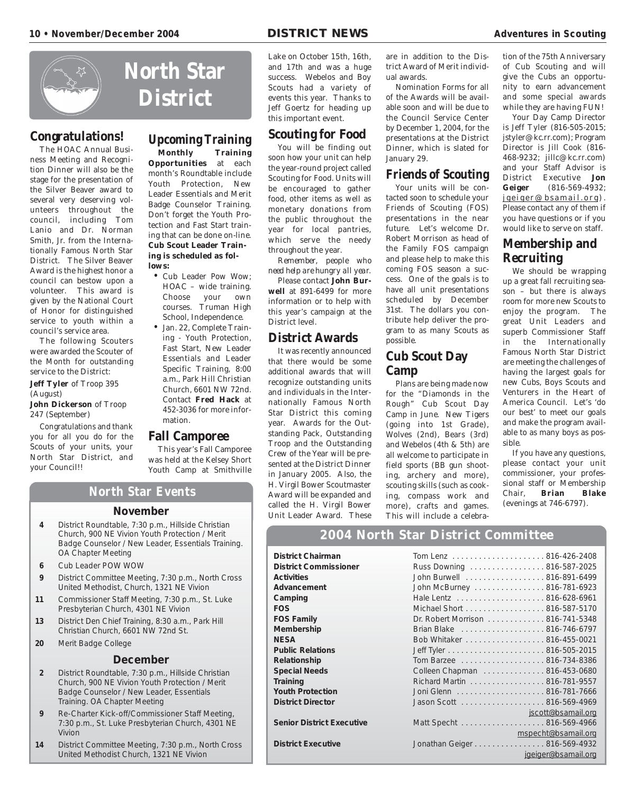

### **Congratulations!**

The HOAC Annual Business Meeting and Recognition Dinner will also be the stage for the presentation of the Silver Beaver award to several very deserving volunteers throughout the council, including Tom Lanio and Dr. Norman Smith, Jr. from the Internationally Famous North Star District. The Silver Beaver Award is the highest honor a council can bestow upon a volunteer. This award is given by the National Court of Honor for distinguished service to youth within a council's service area.

The following Scouters were awarded the Scouter of the Month for outstanding service to the District:

**Jeff Tyler** of Troop 395 (August) **John Dickerson** of Troop 247 (September)

Congratulations and thank you for all you do for the Scouts of your units, your North Star District, and your Council!!

OA Chapter Meeting **6** Cub Leader POW WOW

**20** Merit Badge College

Vivion

# **Upcoming Training**

**Monthly Training Opportunities** at each month's Roundtable include Youth Protection, New Leader Essentials and Merit Badge Counselor Training. Don't forget the Youth Protection and Fast Start training that can be done on-line. **Cub Scout Leader Training is scheduled as follows:**

- Cub Leader Pow Wow; HOAC – wide training. Choose your own courses. Truman High School, Independence.
- Jan. 22, Complete Training - Youth Protection, Fast Start, New Leader Essentials and Leader Specific Training, 8:00 a.m., Park Hill Christian Church, 6601 NW 72nd. Contact **Fred Hack** at 452-3036 for more information.

**North Star Events**

**November 4** District Roundtable, 7:30 p.m., Hillside Christian Church, 900 NE Vivion Youth Protection / Merit Badge Counselor / New Leader, Essentials Training.

**9** District Committee Meeting, 7:30 p.m., North Cross United Methodist, Church, 1321 NE Vivion **11** Commissioner Staff Meeting, 7:30 p.m., St. Luke Presbyterian Church, 4301 NE Vivion **13** District Den Chief Training, 8:30 a.m., Park Hill Christian Church, 6601 NW 72nd St.

**December 2** District Roundtable, 7:30 p.m., Hillside Christian Church, 900 NE Vivion Youth Protection / Merit Badge Counselor / New Leader, Essentials

**9** Re-Charter Kick-off/Commissioner Staff Meeting, 7:30 p.m., St. Luke Presbyterian Church, 4301 NE

**14** District Committee Meeting, 7:30 p.m., North Cross United Methodist Church, 1321 NE Vivion

Training. OA Chapter Meeting

This year's Fall Camporee was held at the Kelsey Short Youth Camp at Smithville

- 
- 

### **Fall Camporee**

soon how your unit can help the year-round project called Scouting for Food. Units will be encouraged to gather food, other items as well as monetary donations from

the public throughout the year for local pantries, which serve the needy throughout the year.

*Remember, people who need help are hungry all year.*

Please contact **John Burwell** at 891-6499 for more information or to help with this year's campaign at the District level.

### **District Awards**

It was recently announced that there would be some additional awards that will recognize outstanding units and individuals in the Internationally Famous North Star District this coming year. Awards for the Outstanding Pack, Outstanding Troop and the Outstanding Crew of the Year will be presented at the District Dinner in January 2005. Also, the H. Virgil Bower Scoutmaster Award will be expanded and called the H. Virgil Bower Unit Leader Award. These are in addition to the District Award of Merit individual awards.

Nomination Forms for all of the Awards will be available soon and will be due to the Council Service Center by December 1, 2004, for the presentations at the District Dinner, which is slated for January 29.

### **Friends of Scouting**

Your units will be contacted soon to schedule your Friends of Scouting (FOS) presentations in the near future. Let's welcome Dr. Robert Morrison as head of the Family FOS campaign and please help to make this coming FOS season a success. One of the goals is to have all unit presentations scheduled by December 31st. The dollars you contribute help deliver the program to as many Scouts as possible.

### **Cub Scout Day Camp**

Plans are being made now for the "Diamonds in the Rough" Cub Scout Day Camp in June. New Tigers (going into 1st Grade), Wolves (2nd), Bears (3rd) and Webelos (4th & 5th) are all welcome to participate in field sports (BB gun shooting, archery and more), scouting skills (such as cooking, compass work and more), crafts and games. This will include a celebra-

tion of the 75th Anniversary of Cub Scouting and will give the Cubs an opportunity to earn advancement and some special awards while they are having FUN!

Your Day Camp Director is Jeff Tyler (816-505-2015; jstyler@kc.rr.com); Program Director is Jill Cook (816- 468-9232; jillc@kc.rr.com) and your Staff Advisor is District Executive **Jon Geiger** (816-569-4932;  $j$ geiger@bsamail.org). Please contact any of them if you have questions or if you would like to serve on staff.

### **Membership and Recruiting**

We should be wrapping up a great fall recruiting season – but there is always room for more new Scouts to enjoy the program. The great Unit Leaders and superb Commissioner Staff in the Internationally Famous North Star District are meeting the challenges of having the largest goals for new Cubs, Boys Scouts and Venturers in the Heart of America Council. Let's 'do our best' to meet our goals and make the program available to as many boys as possible.

If you have any questions, please contact your unit commissioner, your professional staff or Membership Chair, **Brian Blake** (evenings at 746-6797).

### **2004 North Star District Committee**

**District Chairman** Tom Lenz . . . . . . . . . . . . . . . . . . . . . 816-426-2408 **District Commissioner** Advancement Camping **FOS Family Membership Public Relations Relationship Special Needs Youth Protection District Director Senior District Executive** 

```
District Executive
```

| District Chairman                |                                  |                     |
|----------------------------------|----------------------------------|---------------------|
| <b>District Commissioner</b>     | Russ Downing 816-587-2025        |                     |
| Activities                       | John Burwell 816-891-6499        |                     |
| Advancement                      | John McBurney 816-781-6923       |                     |
| Camping                          |                                  |                     |
| <b>FOS</b>                       | Michael Short 816-587-5170       |                     |
| <b>FOS Family</b>                | Dr. Robert Morrison 816-741-5348 |                     |
| Membership                       | Brian Blake 816-746-6797         |                     |
| NESA                             | Bob Whitaker 816-455-0021        |                     |
| <b>Public Relations</b>          |                                  |                     |
| Relationship                     |                                  |                     |
| <b>Special Needs</b>             | Colleen Chapman 816-453-0680     |                     |
| <b>Training</b>                  | Richard Martin 816-781-9557      |                     |
| <b>Youth Protection</b>          |                                  |                     |
| <b>District Director</b>         |                                  |                     |
|                                  |                                  | jscott@bsamail.org  |
| <b>Senior District Executive</b> | Matt Specht 816-569-4966         |                     |
|                                  |                                  | mspecht@bsamail.org |
| <b>District Executive</b>        | Jonathan Geiger 816-569-4932     |                     |
|                                  |                                  | jgeiger@bsamail.org |

Lake on October 15th, 16th, and 17th and was a huge success. Webelos and Boy Scouts had a variety of events this year. Thanks to Jeff Goertz for heading up

this important event.

**Scouting for Food** You will be finding out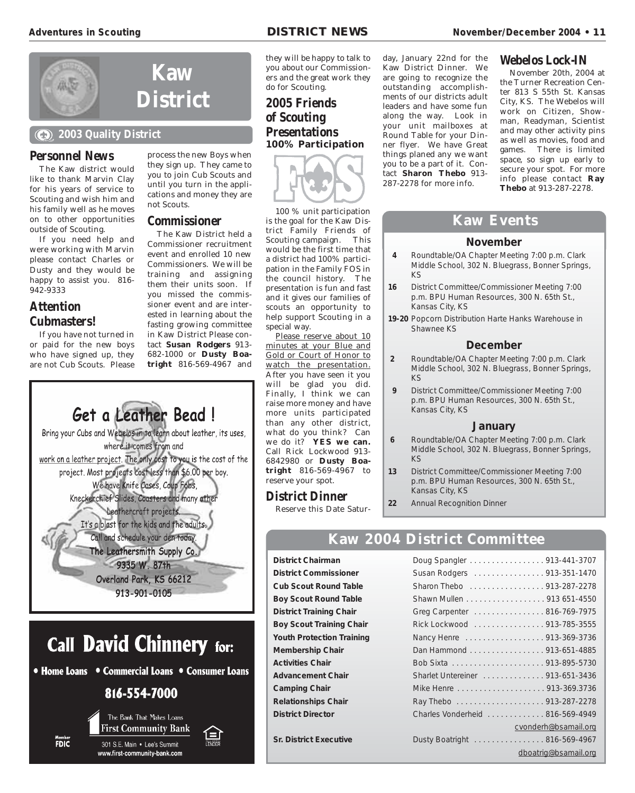

### **2003 Quality District**

### **Personnel News**

The Kaw district would like to thank Marvin Clay for his years of service to Scouting and wish him and his family well as he moves on to other opportunities outside of Scouting.

If you need help and were working with Marvin please contact Charles or Dusty and they would be happy to assist you. 816-942-9333

### **Attention Cubmasters!**

If you have not turned in or paid for the new boys who have signed up, they are not Cub Scouts. Please

process the new Boys when they sign up. They came to you to join Cub Scouts and until you turn in the applications and money they are not Scouts.

### **Commissioner**

The Kaw District held a Commissioner recruitment event and enrolled 10 new Commissioners. We will be training and assigning them their units soon. If you missed the commissioner event and are interested in learning about the fasting growing committee in Kaw District Please contact **Susan Rodgers** 913- 682-1000 or **Dusty Boatright** 816-569-4967 and



• Home Loans • Commercial Loans • Consumer Loans

816-554-7000



**FDIC** 

301 S.E. Main . Lee's Summit www.first-community-bank.com

they will be happy to talk to you about our Commissioners and the great work they do for Scouting.

### **2005 Friends of Scouting Presentations 100% Participation**



100 % unit participation is the goal for the Kaw District Family Friends of Scouting campaign. This would be the first time that a district had 100% participation in the Family FOS in the council history. The presentation is fun and fast and it gives our families of scouts an opportunity to help support Scouting in a special way.

Please reserve about 10 minutes at your Blue and Gold or Court of Honor to watch the presentation. After you have seen it you will be glad you did. Finally, I think we can raise more money and have more units participated than any other district, what do you think? Can we do it? **YES we can.** Call Rick Lockwood 913- 6842980 or **Dusty Boatright** 816-569-4967 to reserve your spot.

### **District Dinner**

Reserve this Date Satur-

day, January 22nd for the Kaw District Dinner. We are going to recognize the outstanding accomplishments of our districts adult leaders and have some fun along the way. Look in your unit mailboxes at Round Table for your Dinner flyer. We have Great things planed any we want you to be a part of it. Contact **Sharon Thebo** 913- 287-2278 for more info.

### **Adventur Adventures in Scouting es in Scouting DISTRICT NEWS DISTRICT NEWS November/December 2004 November/December 2004• 11**

### **Webelos Lock-IN**

November 20th, 2004 at the Turner Recreation Center 813 S 55th St. Kansas City, KS. The Webelos will work on Citizen, Showman, Readyman, Scientist and may other activity pins as well as movies, food and games. There is limited space, so sign up early to secure your spot. For more info please contact **Ray Thebo** at 913-287-2278.

### **Kaw Events**

### **November**

- **4** Roundtable/OA Chapter Meeting 7:00 p.m. Clark Middle School, 302 N. Bluegrass, Bonner Springs, KS
- **16** District Committee/Commissioner Meeting 7:00 p.m. BPU Human Resources, 300 N. 65th St., Kansas City, KS
- **19-20** Popcorn Distribution Harte Hanks Warehouse in Shawnee KS

### **December**

- **2** Roundtable/OA Chapter Meeting 7:00 p.m. Clark Middle School, 302 N. Bluegrass, Bonner Springs, KS
- **9** District Committee/Commissioner Meeting 7:00 p.m. BPU Human Resources, 300 N. 65th St., Kansas City, KS

### **January**

- **6** Roundtable/OA Chapter Meeting 7:00 p.m. Clark Middle School, 302 N. Bluegrass, Bonner Springs, KS
- **13** District Committee/Commissioner Meeting 7:00 p.m. BPU Human Resources, 300 N. 65th St., Kansas City, KS
- **22** Annual Recognition Dinner

### **Kaw 2004 District Committee**

**District Chairman** Doug Spangler . . . . . . . . . . . . . . . . . 913-441-3707 **District Commissioner** Susan Rodgers . . . . . . . . . . . . . . . 913-351-1470 **Cub Scout Round Table** Sharon Thebo . . . . . . . . . . . . . . . . . 913-287-2278 **Boy Scout Round Table** Shawn Mullen . . . . . . . . . . . . . . . . . 913 651-4550 District Training Chair **Greg Carpenter . . . . . . . . . . . . . . . 816-769-7975 Boy Scout Training Chair** Rick Lockwood . . . . . . . . . . . . . . . 913-785-3555 **Youth Protection Training Mancy Henre ..................... 913-369-3736 Membership Chair Dan Hammond . . . . . . . . . . . . . . . . 913-651-4885 Activities Chair** Bob Sixta . . . . . . . . . . . . . . . . . . . . . 913-895-5730 Advancement Chair **Sharlet Untereiner** . . . . . . . . . . . . . . 913-651-3436 **Camping Chair** Mike Henre . . . . . . . . . . . . . . . . . . 913-369.3736 **Relationships Chair** Ray Thebo . . . . . . . . . . . . . . . . . . 913-287-2278 **District Director** Charles Vonderheid . . . . . . . . . . . . . 816-569-4949 cvonderh@bsamail.org **Sr. District Executive** Dusty Boatright . . . . . . . . . . . . . . . . 816-569-4967 dboatrig@bsamail.org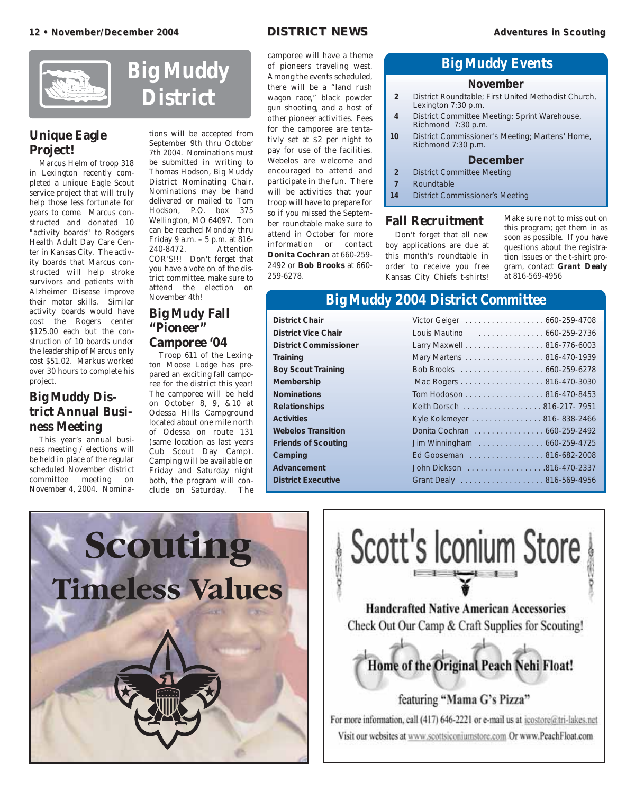

### **Unique Eagle Project!**

Marcus Helm of troop 318 in Lexington recently completed a unique Eagle Scout service project that will truly help those less fortunate for years to come. Marcus constructed and donated 10 "activity boards" to Rodgers Health Adult Day Care Center in Kansas City. The activity boards that Marcus constructed will help stroke survivors and patients with Alzheimer Disease improve their motor skills. Similar activity boards would have cost the Rogers center \$125.00 each but the construction of 10 boards under the leadership of Marcus only cost \$51.02. Markus worked over 30 hours to complete his project.

### **Big Muddy District Annual Business Meeting**

This year's annual business meeting / elections will be held in place of the regular scheduled November district committee meeting on November 4, 2004. Nomina-



tions will be accepted from September 9th thru October 7th 2004. Nominations must be submitted in writing to Thomas Hodson, Big Muddy District Nominating Chair. Nominations may be hand delivered or mailed to Tom Hodson, P.O. box 375 Wellington, MO 64097. Tom can be reached Monday thru Friday 9 a.m. – 5 p.m. at 816- 240-8472. Attention COR'S!!! Don't forget that you have a vote on of the district committee, make sure to attend the election on November 4th!

### **Big Mudy Fall "Pioneer" Camporee '04**

Troop 611 of the Lexington Moose Lodge has prepared an exciting fall camporee for the district this year! The camporee will be held on October 8, 9, &10 at Odessa Hills Campground located about one mile north of Odessa on route 131 (same location as last years Cub Scout Day Camp). Camping will be available on Friday and Saturday night both, the program will conclude on Saturday. The camporee will have a theme of pioneers traveling west. Among the events scheduled, there will be a "land rush wagon race," black powder gun shooting, and a host of other pioneer activities. Fees for the camporee are tentativly set at \$2 per night to pay for use of the facilities. Webelos are welcome and encouraged to attend and participate in the fun. There will be activities that your troop will have to prepare for so if you missed the September roundtable make sure to attend in October for more information or contact **Donita Cochran** at 660-259- 2492 or **Bob Brooks** at 660- 259-6278.

### **Big Muddy Events**

### **November**

- **2** District Roundtable; First United Methodist Church, Lexington 7:30 p.m.
- **4** District Committee Meeting; Sprint Warehouse, Richmond 7:30 p.m.
- **10** District Commissioner's Meeting; Martens' Home, Richmond 7:30 p.m.

### **December**

- **2** District Committee Meeting
- **7** Roundtable
- **14** District Commissioner's Meeting

### **Fall Recruitment**

Don't forget that all new boy applications are due at this month's roundtable in order to receive you free Kansas City Chiefs t-shirts!

Make sure not to miss out on this program; get them in as soon as possible. If you have questions about the registration issues or the t-shirt program, contact **Grant Dealy** at 816-569-4956

### **Big Muddy 2004 District Committee**

| <b>District Chair</b>        | Victor Geiger 660-259-4708  |  |
|------------------------------|-----------------------------|--|
| <b>District Vice Chair</b>   | Louis Mautino 660-259-2736  |  |
| <b>District Commissioner</b> | Larry Maxwell 816-776-6003  |  |
| Training                     | Mary Martens 816-470-1939   |  |
| <b>Boy Scout Training</b>    |                             |  |
| <b>Membership</b>            | Mac Rogers 816-470-3030     |  |
| <b>Nominations</b>           | Tom Hodoson 816-470-8453    |  |
| <b>Relationships</b>         | Keith Dorsch 816-217-7951   |  |
| <b>Activities</b>            | Kyle Kolkmeyer 816-838-2466 |  |
| <b>Webelos Transition</b>    | Donita Cochran 660-259-2492 |  |
| <b>Friends of Scouting</b>   | Jim Winningham 660-259-4725 |  |
| Camping                      | Ed Gooseman 816-682-2008    |  |
| <b>Advancement</b>           | John Dickson 816-470-2337   |  |
| <b>District Executive</b>    |                             |  |
|                              |                             |  |



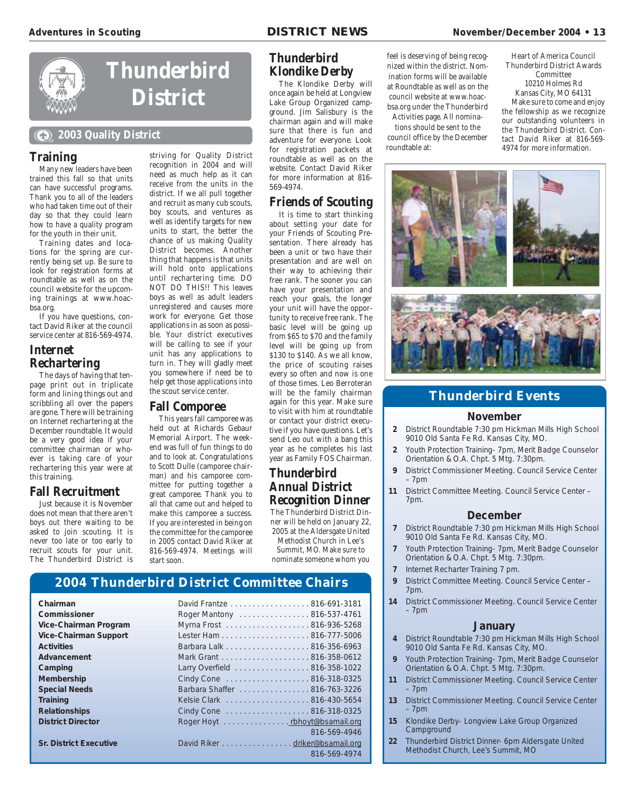

# **Thunderbird District**

### **2003 Quality District**

### **Training**

Many new leaders have been trained this fall so that units can have successful programs. Thank you to all of the leaders who had taken time out of their day so that they could learn how to have a quality program for the youth in their unit.

Training dates and locations for the spring are currently being set up. Be sure to look for registration forms at roundtable as well as on the council website for the upcoming trainings at www.hoacbsa.org.

If you have questions, contact David Riker at the council service center at 816-569-4974.

### **Internet Rechartering**

The days of having that tenpage print out in triplicate form and lining things out and scribbling all over the papers are gone. There will be training on Internet rechartering at the December roundtable. It would be a very good idea if your committee chairman or whoever is taking care of your rechartering this year were at this training.

### **Fall Recruitment**

Just because it is November does not mean that there aren't boys out there waiting to be asked to join scouting. It is never too late or too early to recruit scouts for your unit. The Thunderbird District is

recognition in 2004 and will need as much help as it can receive from the units in the district. If we all pull together and recruit as many cub scouts, boy scouts, and ventures as well as identify targets for new units to start, the better the chance of us making Quality District becomes. Another thing that happens is that units will hold onto applications until rechartering time. DO NOT DO THIS!! This leaves boys as well as adult leaders unregistered and causes more work for everyone. Get those applications in as soon as possible. Your district executives will be calling to see if your unit has any applications to turn in. They will gladly meet you somewhere if need be to help get those applications into the scout service center.

striving for Quality District

### **Fall Comporee**

This years fall camporee was held out at Richards Gebaur Memorial Airport. The weekend was full of fun things to do and to look at. Congratulations to Scott Dulle (camporee chairman) and his camporee committee for putting together a great camporee. Thank you to all that came out and helped to make this camporee a success. If you are interested in being on the committee for the camporee in 2005 contact David Riker at 816-569-4974. Meetings will start soon.

### **Thunderbird Klondike Derby**

The Klondike Derby will once again be held at Longview Lake Group Organized campground. Jim Salisbury is the chairman again and will make sure that there is fun and adventure for everyone. Look for registration packets at roundtable as well as on the website. Contact David Riker for more information at 816- 569-4974.

### **Friends of Scouting**

It is time to start thinking about setting your date for your Friends of Scouting Presentation. There already has been a unit or two have their presentation and are well on their way to achieving their free rank. The sooner you can have your presentation and reach your goals, the longer your unit will have the opportunity to receive free rank. The basic level will be going up from \$65 to \$70 and the family level will be going up from \$130 to \$140. As we all know, the price of scouting raises every so often and now is one of those times. Leo Berroteran will be the family chairman again for this year. Make sure to visit with him at roundtable or contact your district executive if you have questions. Let's send Leo out with a bang this year as he completes his last year as Family FOS Chairman.

### **Thunderbird Annual District Recognition Dinner**

The Thunderbird District Dinner will be held on January 22, 2005 at the Aldersgate United

Methodist Church in Lee's Summit, MO. Make sure to nominate someone whom you feel is deserving of being recognized within the district. Nomination forms will be available at Roundtable as well as on the council website at www.hoacbsa.org under the Thunderbird

Activities page. All nominations should be sent to the council office by the December roundtable at:

Heart of America Council Thunderbird District Awards Committee 10210 Holmes Rd Kansas City, MO 64131 Make sure to come and enjoy the fellowship as we recognize our outstanding volunteers in the Thunderbird District. Contact David Riker at 816-569- 4974 for more information.





### **Thunderbird Events**

### **November**

- **2** District Roundtable 7:30 pm Hickman Mills High School 9010 Old Santa Fe Rd. Kansas City, MO.
- **2** Youth Protection Training- 7pm, Merit Badge Counselor Orientation & O.A. Chpt. 5 Mtg. 7:30pm.
- **9** District Commissioner Meeting. Council Service Center – 7pm
- **11** District Committee Meeting. Council Service Center 7pm.

### **December**

- **7** District Roundtable 7:30 pm Hickman Mills High School 9010 Old Santa Fe Rd. Kansas City, MO.
- **7** Youth Protection Training- 7pm, Merit Badge Counselor Orientation & O.A. Chpt. 5 Mtg. 7:30pm.
- **7** Internet Recharter Training 7 pm.
- **9** District Committee Meeting. Council Service Center 7pm.
- **14** District Commissioner Meeting. Council Service Center – 7pm

### **January**

- **4** District Roundtable 7:30 pm Hickman Mills High School 9010 Old Santa Fe Rd. Kansas City, MO.
- **9** Youth Protection Training- 7pm, Merit Badge Counselor Orientation & O.A. Chpt. 5 Mtg. 7:30pm.
- **11** District Commissioner Meeting. Council Service Center – 7pm
- **13** District Commissioner Meeting. Council Service Center – 7pm
- **15** Klondike Derby- Longview Lake Group Organized **Campground**
- **22** Thunderbird District Dinner- 6pm Aldersgate United Methodist Church, Lee's Summit, MO

### **2004 Thunderbird District Committee Chairs**

| Chairman                      | David Frantze 816-691-3181     |              |
|-------------------------------|--------------------------------|--------------|
| Commissioner                  | Roger Mantony 816-537-4761     |              |
| Vice-Chairman Program         | Myrna Frost 816-936-5268       |              |
| <b>Vice-Chairman Support</b>  |                                |              |
| <b>Activities</b>             | Barbara Lalk 816-356-6963      |              |
| Advancement                   |                                |              |
| Camping                       | Larry Overfield 816-358-1022   |              |
| <b>Membership</b>             | Cindy Cone 816-318-0325        |              |
| <b>Special Needs</b>          | Barbara Shaffer 816-763-3226   |              |
| <b>Training</b>               | Kelsie Clark 816-430-5654      |              |
| <b>Relationships</b>          | Cindy Cone 816-318-0325        |              |
| <b>District Director</b>      | Roger Hoyt rbhoyt@bsamail.org  |              |
|                               |                                | 816-569-4946 |
| <b>Sr. District Executive</b> | David Riker driker@bsamail.org |              |
|                               |                                | 816-569-4974 |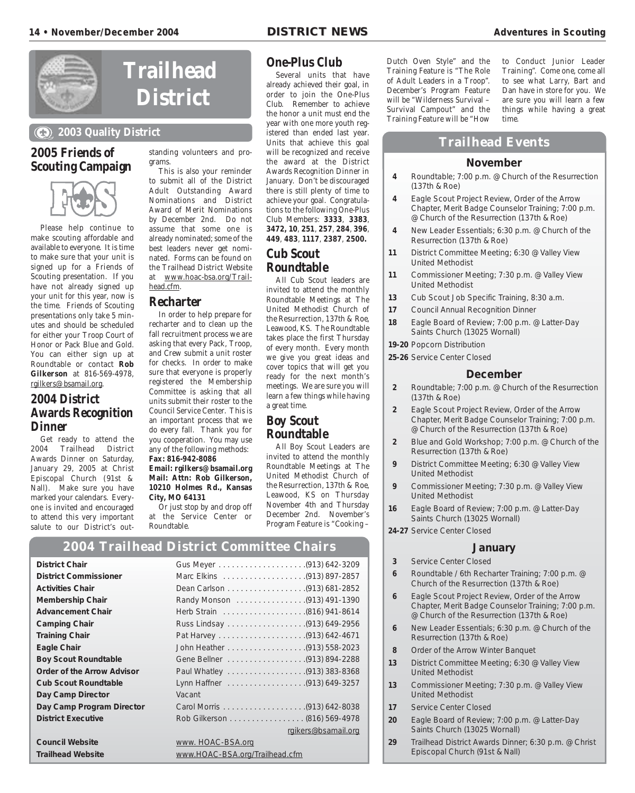

# **Trailhead District**

### **2003 Quality District**

### **2005 Friends of Scouting Campaign**



Please help continue to make scouting affordable and available to everyone. It is time to make sure that your unit is signed up for a Friends of Scouting presentation. If you have not already signed up your unit for this year, now is the time. Friends of Scouting presentations only take 5 minutes and should be scheduled for either your Troop Court of Honor or Pack Blue and Gold. You can either sign up at Roundtable or contact **Rob Gilkerson** at 816-569-4978, rgilkers@bsamail.org.

### **2004 District Awards Recognition Dinner**

Get ready to attend the 2004 Trailhead District Awards Dinner on Saturday, January 29, 2005 at Christ Episcopal Church (91st & Nall). Make sure you have marked your calendars. Everyone is invited and encouraged to attend this very important salute to our District's outstanding volunteers and programs.

This is also your reminder to submit all of the District Adult Outstanding Award Nominations and District Award of Merit Nominations by December 2nd. Do not assume that some one is already nominated; some of the best leaders never get nominated. Forms can be found on the Trailhead District Website at www.hoac-bsa.org/Trailhead.cfm.

### **Recharter**

In order to help prepare for recharter and to clean up the fall recruitment process we are asking that every Pack, Troop, and Crew submit a unit roster for checks. In order to make sure that everyone is properly registered the Membership Committee is asking that all units submit their roster to the Council Service Center. This is an important process that we do every fall. Thank you for you cooperation. You may use any of the following methods: **Fax: 816-942-8086**

**Email: rgilkers@bsamail.org Mail: Attn: Rob Gilkerson, 10210 Holmes Rd., Kansas City, MO 64131**

Or just stop by and drop off at the Service Center or Roundtable.

### **One-Plus Club**

Several units that have already achieved their goal, in order to join the One-Plus Club. Remember to achieve the honor a unit must end the year with one more youth registered than ended last year. Units that achieve this goal will be recognized and receive the award at the District Awards Recognition Dinner in January. Don't be discouraged there is still plenty of time to achieve your goal. Congratulations to the following One-Plus Club Members: **3333**, **3383**, **3472, 10**, **251**, **257**, **284**, **396**, **449**, **483**, **1117**, **2387**, **2500.**

### **Cub Scout Roundtable**

All Cub Scout leaders are invited to attend the monthly Roundtable Meetings at The United Methodist Church of the Resurrection, 137th & Roe, Leawood, KS. The Roundtable takes place the first Thursday of every month. Every month we give you great ideas and cover topics that will get you ready for the next month's meetings. We are sure you will learn a few things while having a great time.

### **Boy Scout Roundtable**

All Boy Scout Leaders are invited to attend the monthly Roundtable Meetings at The United Methodist Church of the Resurrection, 137th & Roe, Leawood, KS on Thursday November 4th and Thursday December 2nd. November's Program Feature is "Cooking –

**2004 Trailhead District Committee Chairs**

| <b>District Chair</b>        |                                |  |  |
|------------------------------|--------------------------------|--|--|
| <b>District Commissioner</b> |                                |  |  |
| <b>Activities Chair</b>      |                                |  |  |
| Membership Chair             |                                |  |  |
| <b>Advancement Chair</b>     |                                |  |  |
| <b>Camping Chair</b>         |                                |  |  |
| <b>Training Chair</b>        |                                |  |  |
| Eagle Chair                  |                                |  |  |
| <b>Boy Scout Roundtable</b>  |                                |  |  |
| Order of the Arrow Advisor   |                                |  |  |
| <b>Cub Scout Roundtable</b>  |                                |  |  |
| Day Camp Director            | Vacant                         |  |  |
| Day Camp Program Director    |                                |  |  |
| <b>District Executive</b>    | Rob Gilkerson (816) 569-4978   |  |  |
|                              | rgikers@bsamail.org            |  |  |
| <b>Council Website</b>       | www. HOAC-BSA.org              |  |  |
| <b>Trailhead Website</b>     | www.HOAC-BSA.org/Trailhead.cfm |  |  |

Dutch Oven Style" and the Training Feature is "The Role of Adult Leaders in a Troop". December's Program Feature will be "Wilderness Survival – Survival Campout" and the Training Feature will be "How

to Conduct Junior Leader Training". Come one, come all to see what Larry, Bart and Dan have in store for you. We are sure you will learn a few things while having a great time.

### **Trailhead Events**

### **November**

- **4** Roundtable; 7:00 p.m. @ Church of the Resurrection (137th & Roe)
- **4** Eagle Scout Project Review, Order of the Arrow Chapter, Merit Badge Counselor Training; 7:00 p.m. @ Church of the Resurrection (137th & Roe)
- **4** New Leader Essentials; 6:30 p.m. @ Church of the Resurrection (137th & Roe)
- **11** District Committee Meeting; 6:30 @ Valley View United Methodist
- **11** Commissioner Meeting; 7:30 p.m. @ Valley View United Methodist
- **13** Cub Scout Job Specific Training, 8:30 a.m.
- **17** Council Annual Recognition Dinner
- **18** Eagle Board of Review; 7:00 p.m. @ Latter-Day Saints Church (13025 Wornall)
- **19-20** Popcorn Distribution
- **25-26** Service Center Closed

### **December**

- **2** Roundtable; 7:00 p.m. @ Church of the Resurrection (137th & Roe)
- **2** Eagle Scout Project Review, Order of the Arrow Chapter, Merit Badge Counselor Training; 7:00 p.m. @ Church of the Resurrection (137th & Roe)
- **2** Blue and Gold Workshop; 7:00 p.m. @ Church of the Resurrection (137th & Roe)
- **9** District Committee Meeting; 6:30 @ Valley View United Methodist
- **9** Commissioner Meeting; 7:30 p.m. @ Valley View United Methodist
- **16** Eagle Board of Review; 7:00 p.m. @ Latter-Day Saints Church (13025 Wornall)
- **24-27** Service Center Closed

### **January**

- **3** Service Center Closed
- **6** Roundtable / 6th Recharter Training; 7:00 p.m. @ Church of the Resurrection (137th & Roe)
- **6** Eagle Scout Project Review, Order of the Arrow Chapter, Merit Badge Counselor Training; 7:00 p.m. @ Church of the Resurrection (137th & Roe)
- **6** New Leader Essentials; 6:30 p.m. @ Church of the Resurrection (137th & Roe)
- **8** Order of the Arrow Winter Banquet
- **13** District Committee Meeting; 6:30 @ Valley View United Methodist
- **13** Commissioner Meeting; 7:30 p.m. @ Valley View United Methodist
- **17** Service Center Closed
- **20** Eagle Board of Review; 7:00 p.m. @ Latter-Day Saints Church (13025 Wornall)
- **29** Trailhead District Awards Dinner; 6:30 p.m. @ Christ Episcopal Church (91st & Nall)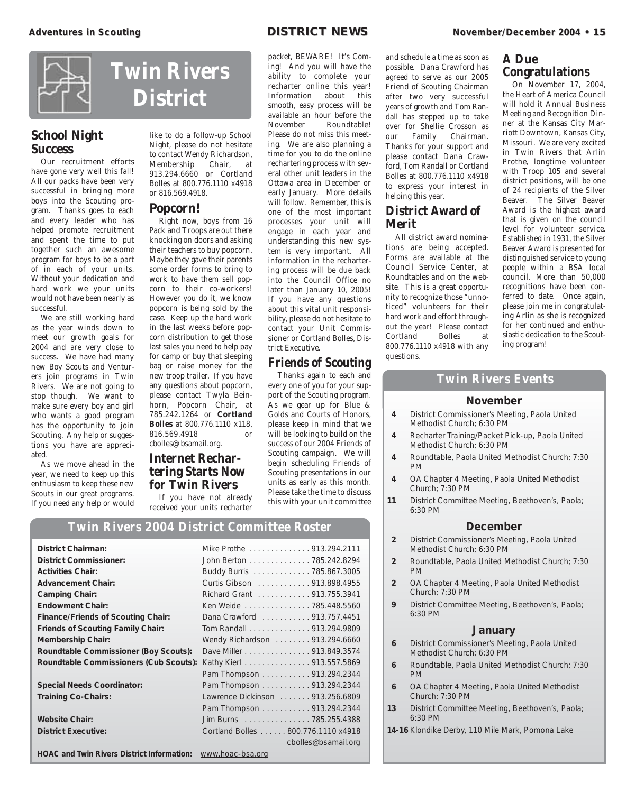# **Twin Rivers District**

### **School Night Success**

Our recruitment efforts have gone very well this fall! All our packs have been very successful in bringing more boys into the Scouting program. Thanks goes to each and every leader who has helped promote recruitment and spent the time to put together such an awesome program for boys to be a part of in each of your units. Without your dedication and hard work we your units would not have been nearly as successful.

We are still working hard as the year winds down to meet our growth goals for 2004 and are very close to success. We have had many new Boy Scouts and Venturers join programs in Twin Rivers. We are not going to stop though. We want to make sure every boy and girl who wants a good program has the opportunity to join Scouting. Any help or suggestions you have are appreciated.

As we move ahead in the year, we need to keep up this enthusiasm to keep these new Scouts in our great programs. If you need any help or would

like to do a follow-up School Night, please do not hesitate to contact Wendy Richardson, Membership Chair, at 913.294.6660 or Cortland Bolles at 800.776.1110 x4918 or 816.569.4918.

### **Popcorn!**

Right now, boys from 16 Pack and Troops are out there knocking on doors and asking their teachers to buy popcorn. Maybe they gave their parents some order forms to bring to work to have them sell popcorn to their co-workers! However you do it, we know popcorn is being sold by the case. Keep up the hard work in the last weeks before popcorn distribution to get those last sales you need to help pay for camp or buy that sleeping bag or raise money for the new troop trailer. If you have any questions about popcorn, please contact Twyla Beinhorn, Popcorn Chair, at 785.242.1264 or **Cortland Bolles** at 800.776.1110 x118, 816.569.4918 or cbolles@bsamail.org.

### **Internet Rechartering Starts Now for Twin Rivers**

If you have not already received your units recharter

packet, BEWARE! It's Com-

ing! And you will have the ability to complete your recharter online this year! Information about this smooth, easy process will be available an hour before the<br>November Roundtable! Roundtable! Please do not miss this meeting. We are also planning a time for you to do the online rechartering process with several other unit leaders in the Ottawa area in December or early January. More details will follow. Remember, this is one of the most important processes your unit will engage in each year and understanding this new system is very important. All information in the rechartering process will be due back into the Council Office no later than January 10, 2005! If you have any questions about this vital unit responsibility, please do not hesitate to contact your Unit Commissioner or Cortland Bolles, District Executive.

### **Friends of Scouting**

Thanks again to each and every one of you for your support of the Scouting program. As we gear up for Blue & Golds and Courts of Honors, please keep in mind that we will be looking to build on the success of our 2004 Friends of Scouting campaign. We will begin scheduling Friends of Scouting presentations in our units as early as this month. Please take the time to discuss this with your unit committee

**Twin Rivers 2004 District Committee Roster**

| <b>District Chairman:</b>                         | Mike Prothe 913.294.2111           |
|---------------------------------------------------|------------------------------------|
| <b>District Commissioner:</b>                     | John Berton 785.242.8294           |
| <b>Activities Chair:</b>                          | Buddy Burris 785.867.3005          |
| <b>Advancement Chair:</b>                         | Curtis Gibson 913.898.4955         |
| <b>Camping Chair:</b>                             | Richard Grant 913.755.3941         |
| <b>Endowment Chair:</b>                           | Ken Weide 785.448.5560             |
| <b>Finance/Friends of Scouting Chair:</b>         | Dana Crawford 913.757.4451         |
| <b>Friends of Scouting Family Chair:</b>          | Tom Randall 913.294.9809           |
| <b>Membership Chair:</b>                          | Wendy Richardson 913.294.6660      |
| <b>Roundtable Commissioner (Boy Scouts):</b>      | Dave Miller 913.849.3574           |
| Roundtable Commissioners (Cub Scouts):            | Kathy Kierl 913.557.5869           |
|                                                   | Pam Thompson 913.294.2344          |
| <b>Special Needs Coordinator:</b>                 | Pam Thompson 913.294.2344          |
| <b>Training Co-Chairs:</b>                        | Lawrence Dickinson 913.256.6809    |
|                                                   | Pam Thompson 913.294.2344          |
| <b>Website Chair:</b>                             | Jim Burns 785.255.4388             |
| <b>District Executive:</b>                        | Cortland Bolles 800.776.1110 x4918 |
|                                                   | cbolles@bsamail.org                |
| <b>HOAC and Twin Rivers District Information:</b> | www.hoac-bsa.org                   |

and schedule a time as soon as possible. Dana Crawford has agreed to serve as our 2005 Friend of Scouting Chairman after two very successful years of growth and Tom Randall has stepped up to take over for Shellie Crosson as our Family Chairman. Thanks for your support and please contact Dana Crawford, Tom Randall or Cortland Bolles at 800.776.1110 x4918 to express your interest in helping this year.

### **District Award of Merit**

All district award nominations are being accepted. Forms are available at the Council Service Center, at Roundtables and on the website. This is a great opportunity to recognize those "unnoticed" volunteers for their hard work and effort throughout the year! Please contact Cortland Bolles at 800.776.1110 x4918 with any questions.

# **A Due**

## **Congratulations**

On November 17, 2004, the Heart of America Council will hold it Annual Business Meeting and Recognition Dinner at the Kansas City Marriott Downtown, Kansas City, Missouri. We are very excited in Twin Rivers that Arlin Prothe, longtime volunteer with Troop 105 and several district positions, will be one of 24 recipients of the Silver Beaver. The Silver Beaver Award is the highest award that is given on the council level for volunteer service. Established in 1931, the Silver Beaver Award is presented for distinguished service to young people within a BSA local council. More than 50,000 recognitions have been conferred to date. Once again, please join me in congratulating Arlin as she is recognized for her continued and enthusiastic dedication to the Scouting program!

### **Twin Rivers Events**

### **November**

- **4** District Commissioner's Meeting, Paola United Methodist Church; 6:30 PM
- **4** Recharter Training/Packet Pick-up, Paola United Methodist Church; 6:30 PM
- **4** Roundtable, Paola United Methodist Church; 7:30 PM
- **4** OA Chapter 4 Meeting, Paola United Methodist Church; 7:30 PM
- **11** District Committee Meeting, Beethoven's, Paola; 6:30 PM

### **December**

- **2** District Commissioner's Meeting, Paola United Methodist Church; 6:30 PM
- **2** Roundtable, Paola United Methodist Church; 7:30 PM
- **2** OA Chapter 4 Meeting, Paola United Methodist Church; 7:30 PM
- **9** District Committee Meeting, Beethoven's, Paola; 6:30 PM

### **January**

- **6** District Commissioner's Meeting, Paola United Methodist Church; 6:30 PM
- **6** Roundtable, Paola United Methodist Church; 7:30 PM
- **6** OA Chapter 4 Meeting, Paola United Methodist Church; 7:30 PM
- **13** District Committee Meeting, Beethoven's, Paola; 6:30 PM
- **14-16** Klondike Derby, 110 Mile Mark, Pomona Lake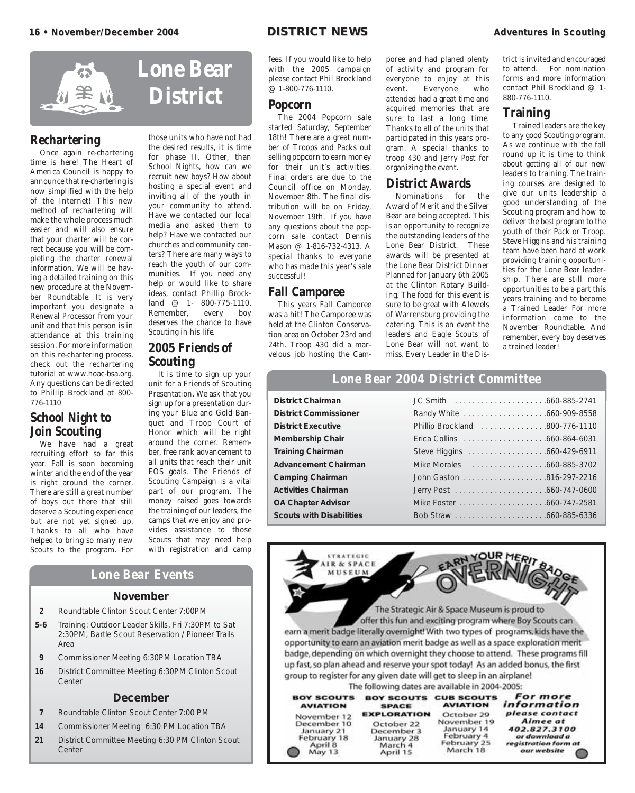

### **Rechartering**

Once again re-chartering time is here! The Heart of America Council is happy to announce that re-chartering is now simplified with the help of the Internet! This new method of rechartering will make the whole process much easier and will also ensure that your charter will be correct because you will be completing the charter renewal information. We will be having a detailed training on this new procedure at the November Roundtable. It is very important you designate a Renewal Processor from your unit and that this person is in attendance at this training session. For more information on this re-chartering process, check out the rechartering tutorial at www.hoac-bsa.org. Any questions can be directed to Phillip Brockland at 800- 776-1110

### **School Night to Join Scouting**

We have had a great recruiting effort so far this year. Fall is soon becoming winter and the end of the year is right around the corner. There are still a great number of boys out there that still deserve a Scouting experience but are not yet signed up. Thanks to all who have helped to bring so many new Scouts to the program. For

those units who have not had the desired results, it is time for phase II. Other, than School Nights, how can we recruit new boys? How about hosting a special event and inviting all of the youth in your community to attend. Have we contacted our local media and asked them to help? Have we contacted our churches and community centers? There are many ways to reach the youth of our communities. If you need any help or would like to share ideas, contact Phillip Brockland @ 1- 800-775-1110.<br>Remember, every boy Remember, deserves the chance to have Scouting in his life.

### **2005 Friends of Scouting**

It is time to sign up your unit for a Friends of Scouting Presentation. We ask that you sign up for a presentation during your Blue and Gold Banquet and Troop Court of Honor which will be right around the corner. Remember, free rank advancement to all units that reach their unit FOS goals. The Friends of Scouting Campaign is a vital part of our program. The money raised goes towards the training of our leaders, the camps that we enjoy and provides assistance to those Scouts that may need help with registration and camp

### **Lone Bear Events**

### **November**

- **2** Roundtable Clinton Scout Center 7:00PM
- **5-6** Training: Outdoor Leader Skills, Fri 7:30PM to Sat 2:30PM, Bartle Scout Reservation / Pioneer Trails Area
- **9** Commissioner Meeting 6:30PM Location TBA
- **16** District Committee Meeting 6:30PM Clinton Scout Center

### **December**

- **7** Roundtable Clinton Scout Center 7:00 PM
- **14** Commissioner Meeting 6:30 PM Location TBA
- **21** District Committee Meeting 6:30 PM Clinton Scout **Center**

fees. If you would like to help with the 2005 campaign please contact Phil Brockland @ 1-800-776-1110.

### **Popcorn**

The 2004 Popcorn sale started Saturday, September 18th! There are a great number of Troops and Packs out selling popcorn to earn money for their unit's activities. Final orders are due to the Council office on Monday, November 8th. The final distribution will be on Friday, November 19th. If you have any questions about the popcorn sale contact Dennis Mason @ 1-816-732-4313. A special thanks to everyone who has made this year's sale successful!

### **Fall Camporee**

This years Fall Camporee was a hit! The Camporee was held at the Clinton Conservation area on October 23rd and 24th. Troop 430 did a marvelous job hosting the Camporee and had planed plenty of activity and program for everyone to enjoy at this event. Everyone who attended had a great time and acquired memories that are sure to last a long time. Thanks to all of the units that participated in this years program. A special thanks to troop 430 and Jerry Post for organizing the event.

### **District Awards**

Nominations for the Award of Merit and the Silver Bear are being accepted. This is an opportunity to recognize the outstanding leaders of the Lone Bear District. These awards will be presented at the Lone Bear District Dinner Planned for January 6th 2005 at the Clinton Rotary Building. The food for this event is sure to be great with Alewels of Warrensburg providing the catering. This is an event the leaders and Eagle Scouts of Lone Bear will not want to miss. Every Leader in the District is invited and encouraged<br>to attend. For nomination For nomination forms and more information contact Phil Brockland @ 1- 880-776-1110.

### **Training**

Trained leaders are the key to any good Scouting program. As we continue with the fall round up it is time to think about getting all of our new leaders to training. The training courses are designed to give our units leadership a good understanding of the Scouting program and how to deliver the best program to the youth of their Pack or Troop. Steve Higgins and his training team have been hard at work providing training opportunities for the Lone Bear leadership. There are still more opportunities to be a part this years training and to become a Trained Leader For more information come to the November Roundtable. And remember, every boy deserves a trained leader!

### **Lone Bear 2004 District Committee**

| istrict Chairman        |
|-------------------------|
| istrict Commissioner    |
| istrict Executive       |
| lembership Chair        |
| raining Chairman        |
| dvancement Chairman     |
| amping Chairman         |
| ctivities Chairman      |
| A Chapter Advisor       |
| couts with Disabilities |

**STRATEGIC IR & SPACE** MILSEUM

| <b>District Chairman</b>        |                                |  |
|---------------------------------|--------------------------------|--|
| <b>District Commissioner</b>    |                                |  |
| <b>District Executive</b>       | Phillip Brockland 800-776-1110 |  |
| <b>Membership Chair</b>         |                                |  |
| <b>Training Chairman</b>        |                                |  |
| <b>Advancement Chairman</b>     |                                |  |
| <b>Camping Chairman</b>         |                                |  |
| <b>Activities Chairman</b>      |                                |  |
| <b>OA Chapter Advisor</b>       |                                |  |
| <b>Scouts with Disabilities</b> |                                |  |
|                                 |                                |  |

The Strategic Air & Space Museum is proud to offer this fun and exciting program where Boy Scouts can earn a merit badge literally overnight! With two types of programs, kids have the opportunity to earn an aviation merit badge as well as a space exploration merit badge, depending on which overnight they choose to attend. These programs fill up fast, so plan ahead and reserve your spot today! As an added bonus, the first group to register for any given date will get to sleep in an airplane!

The following dates are available in 2004-2005:

| <b>BOY SCOUTS</b> | <b>BOY SCOUTS</b>  | <b>CUB SCOUTS</b> | For more             |
|-------------------|--------------------|-------------------|----------------------|
| <b>AVIATION</b>   | <b>SPACE</b>       | <b>AVIATION</b>   | information          |
| November 12       | <b>EXPLORATION</b> | October 29        | please contact       |
| December 10       | October 22         | November 19       | Aimee at             |
| January 21        | December 3         | January 14        | 402.827.3100         |
| February 18       | January 28         | February 4        | or download a        |
| April 8           | March 4            | February 25       | registration form at |
| May 13            | April 15           | March 18          | our website          |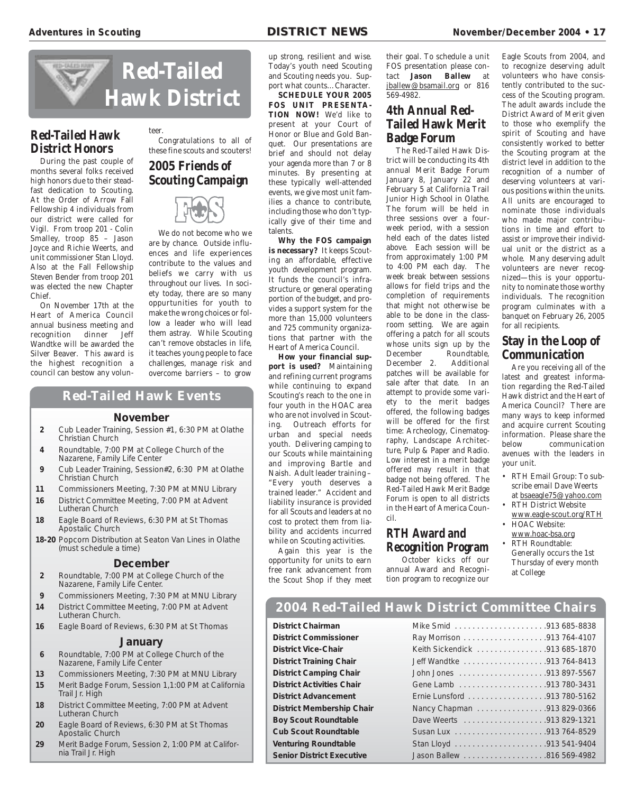

### **Red-Tailed Hawk District Honors**

During the past couple of months several folks received high honors due to their steadfast dedication to Scouting. At the Order of Arrow Fall Fellowship 4 individuals from our district were called for Vigil. From troop 201 - Colin Smalley, troop 85 – Jason Joyce and Richie Weerts, and unit commissioner Stan Lloyd. Also at the Fall Fellowship Steven Bender from troop 201 was elected the new Chapter Chief.

On November 17th at the Heart of America Council annual business meeting and recognition dinner Jeff Wandtke will be awarded the Silver Beaver. This award is the highest recognition a council can bestow any volun-

teer. Congratulations to all of these fine scouts and scouters!

### **2005 Friends of Scouting Campaign**



We do not become who we are by chance. Outside influences and life experiences contribute to the values and beliefs we carry with us throughout our lives. In society today, there are so many oppurtunities for youth to make the wrong choices or follow a leader who will lead them astray. While Scouting can't remove obstacles in life, it teaches young people to face challenges, manage risk and overcome barriers – to grow

### **Red-Tailed Hawk Events**

### **November**

- **2** Cub Leader Training, Session #1, 6:30 PM at Olathe Christian Church
- **4** Roundtable, 7:00 PM at College Church of the Nazarene, Family Life Center
- **9** Cub Leader Training, Session#2, 6:30 PM at Olathe Christian Church
- **11** Commissioners Meeting, 7:30 PM at MNU Library
- **16** District Committee Meeting, 7:00 PM at Advent Lutheran Church
- **18** Eagle Board of Reviews, 6:30 PM at St Thomas Apostalic Church
- **18-20** Popcorn Distribution at Seaton Van Lines in Olathe (must schedule a time)

### **December**

- **2** Roundtable, 7:00 PM at College Church of the Nazarene, Family Life Center.
- **9** Commissioners Meeting, 7:30 PM at MNU Library **14** District Committee Meeting, 7:00 PM at Advent
- Lutheran Church.
- **16** Eagle Board of Reviews, 6:30 PM at St Thomas

### **January**

- **6** Roundtable, 7:00 PM at College Church of the Nazarene, Family Life Center
- **13** Commissioners Meeting, 7:30 PM at MNU Library
- **15** Merit Badge Forum, Session 1,1:00 PM at California Trail Jr. High
- **18** District Committee Meeting, 7:00 PM at Advent Lutheran Church
- **20** Eagle Board of Reviews, 6:30 PM at St Thomas Apostalic Church
- **29** Merit Badge Forum, Session 2, 1:00 PM at California Trail Jr. High

up strong, resilient and wise. Today's youth need Scouting and Scouting needs you. Support what counts…Character.

**SCHEDULE YOUR 2005 FOS UNIT PRESENTA-TION NOW!** We'd like to present at your Court of Honor or Blue and Gold Banquet. Our presentations are brief and should not delay your agenda more than 7 or 8 minutes. By presenting at these typically well-attended events, we give most unit families a chance to contribute, including those who don't typically give of their time and talents.

**Why the FOS campaign is necessary?** It keeps Scouting an affordable, effective youth development program. It funds the council's infrastructure, or general operating portion of the budget, and provides a support system for the more than 15,000 volunteers and 725 community organizations that partner with the Heart of America Council.

**How your financial support is used?** Maintaining and refining current programs while continuing to expand Scouting's reach to the one in four youth in the HOAC area who are not involved in Scouting. Outreach efforts for urban and special needs youth. Delivering camping to our Scouts while maintaining and improving Bartle and Naish. Adult leader training – "Every youth deserves a trained leader." Accident and liability insurance is provided for all Scouts and leaders at no cost to protect them from liability and accidents incurred while on Scouting activities.

Again this year is the opportunity for units to earn free rank advancement from the Scout Shop if they meet their goal. To schedule a unit FOS presentation please contact **Jason Ballew** at jballew@bsamail.org or 816 569-4982.

### **4th Annual Red-Tailed Hawk Merit Badge Forum**

The Red-Tailed Hawk District will be conducting its 4th annual Merit Badge Forum January 8, January 22 and February 5 at California Trail Junior High School in Olathe. The forum will be held in three sessions over a fourweek period, with a session held each of the dates listed above. Each session will be from approximately 1:00 PM to 4:00 PM each day. The week break between sessions allows for field trips and the completion of requirements that might not otherwise be able to be done in the classroom setting. We are again offering a patch for all scouts whose units sign up by the December Roundtable, December 2. Additional patches will be available for sale after that date. In an attempt to provide some variety to the merit badges offered, the following badges will be offered for the first time: Archeology, Cinematography, Landscape Architecture, Pulp & Paper and Radio. Low interest in a merit badge offered may result in that badge not being offered. The Red-Tailed Hawk Merit Badge Forum is open to all districts in the Heart of America Council.

### **RTH Award and Recognition Program**

October kicks off our annual Award and Recognition program to recognize our Eagle Scouts from 2004, and to recognize deserving adult volunteers who have consistently contributed to the success of the Scouting program. The adult awards include the District Award of Merit given to those who exemplify the spirit of Scouting and have consistently worked to better the Scouting program at the district level in addition to the recognition of a number of deserving volunteers at various positions within the units. All units are encouraged to nominate those individuals who made major contributions in time and effort to assist or improve their individual unit or the district as a whole. Many deserving adult volunteers are never recognized—this is your opportunity to nominate those worthy individuals. The recognition program culminates with a banquet on February 26, 2005 for all recipients.

### **Stay in the Loop of Communication**

Are you receiving all of the latest and greatest information regarding the Red-Tailed Hawk district and the Heart of America Council? There are many ways to keep informed and acquire current Scouting information. Please share the below communication avenues with the leaders in your unit.

- RTH Email Group: To subscribe email Dave Weerts at bsaeagle75@yahoo.com
- RTH District Website
- www.eagle-scout.org/RTH • HOAC Website:
- www.hoac-bsa.org • RTH Roundtable:

Generally occurs the 1st Thursday of every month at College

### **2004 Red-Tailed Hawk District Committee Chairs**

**District Chairman** 

**District Commissioner District Vice-Chair District Training Chair District Camping Chair District Activities Chair District Advancement District Membership Chair Boy Scout Roundtable Cub Scout Roundtable Venturing Roundtable Senior District Executive** 

| Keith Sickendick 913 685-1870 |
|-------------------------------|
|                               |
|                               |
|                               |
|                               |
| Nancy Chapman 913 829-0366    |
|                               |
|                               |
|                               |
|                               |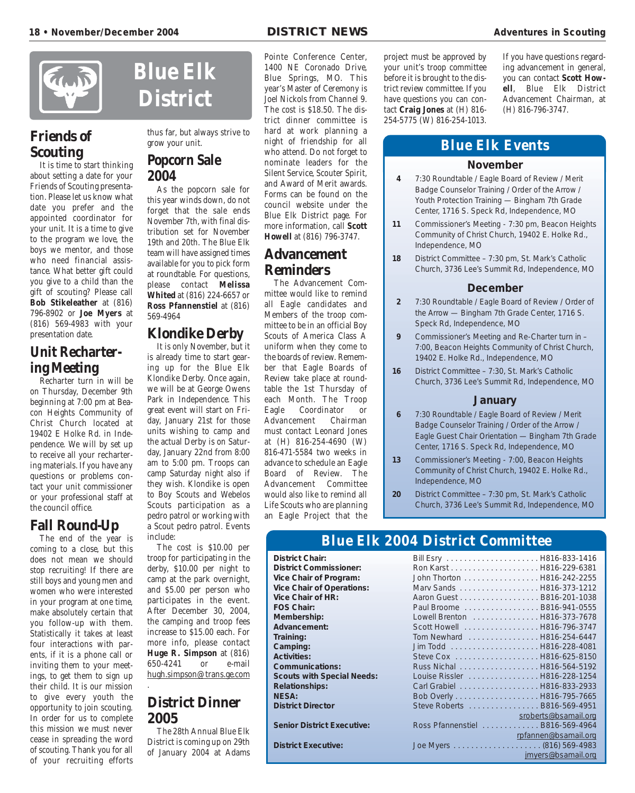

### **Friends of Scouting**

It is time to start thinking about setting a date for your Friends of Scouting presentation. Please let us know what date you prefer and the appointed coordinator for your unit. It is a time to give to the program we love, the boys we mentor, and those who need financial assistance. What better gift could you give to a child than the gift of scouting? Please call **Bob Stikeleather** at (816) 796-8902 or **Joe Myers** at (816) 569-4983 with your presentation date.

### **Unit Rechartering Meeting**

Recharter turn in will be on Thursday, December 9th beginning at 7:00 pm at Beacon Heights Community of Christ Church located at 19402 E Holke Rd. in Independence. We will by set up to receive all your rechartering materials. If you have any questions or problems contact your unit commissioner or your professional staff at the council office.

### **Fall Round-Up**

The end of the year is coming to a close, but this does not mean we should stop recruiting! If there are still boys and young men and women who were interested in your program at one time, make absolutely certain that you follow-up with them. Statistically it takes at least four interactions with parents, if it is a phone call or inviting them to your meetings, to get them to sign up their child. It is our mission to give every youth the opportunity to join scouting. In order for us to complete this mission we must never cease in spreading the word of scouting. Thank you for all of your recruiting efforts

# **Blue Elk District**

thus far, but always strive to grow your unit.

### **Popcorn Sale 2004**

As the popcorn sale for this year winds down, do not forget that the sale ends November 7th, with final distribution set for November 19th and 20th. The Blue Elk team will have assigned times available for you to pick form at roundtable. For questions, please contact **Melissa Whited** at (816) 224-6657 or **Ross Pfannenstiel** at (816) 569-4964

### **Klondike Derby**

It is only November, but it is already time to start gearing up for the Blue Elk Klondike Derby. Once again, we will be at George Owens Park in Independence. This great event will start on Friday, January 21st for those units wishing to camp and the actual Derby is on Saturday, January 22nd from 8:00 am to 5:00 pm. Troops can camp Saturday night also if they wish. Klondike is open to Boy Scouts and Webelos Scouts participation as a pedro patrol or working with a Scout pedro patrol. Events include:

The cost is \$10.00 per troop for participating in the derby, \$10.00 per night to camp at the park overnight, and \$5.00 per person who participates in the event. After December 30, 2004, the camping and troop fees increase to \$15.00 each. For more info, please contact **Huge R. Simpson** at (816) 650-4241 or e-mail hugh.simpson@trans.ge.com

### **District Dinner 2005**

.

The 28th Annual Blue Elk District is coming up on 29th of January 2004 at Adams

Pointe Conference Center, 1400 NE Coronado Drive, Blue Springs, MO. This year's Master of Ceremony is Joel Nickols from Channel 9. The cost is \$18.50. The district dinner committee is hard at work planning a night of friendship for all who attend. Do not forget to nominate leaders for the Silent Service, Scouter Spirit, and Award of Merit awards. Forms can be found on the council website under the Blue Elk District page. For more information, call **Scott Howell** at (816) 796-3747.

### **Advancement Reminders**

The Advancement Committee would like to remind all Eagle candidates and Members of the troop committee to be in an official Boy Scouts of America Class A uniform when they come to the boards of review. Remember that Eagle Boards of Review take place at roundtable the 1st Thursday of each Month. The Troop Eagle Coordinator or Advancement Chairman must contact Leonard Jones at (H) 816-254-4690 (W) 816-471-5584 two weeks in advance to schedule an Eagle Board of Review. The Advancement Committee would also like to remind all Life Scouts who are planning an Eagle Project that the

project must be approved by your unit's troop committee before it is brought to the district review committee. If you have questions you can contact **Craig Jones** at (H) 816- 254-5775 (W) 816-254-1013.

If you have questions regarding advancement in general, you can contact **Scott Howell**, Blue Elk District Advancement Chairman, at (H) 816-796-3747.

### **Blue Elk Events**

### **November**

- **4** 7:30 Roundtable / Eagle Board of Review / Merit Badge Counselor Training / Order of the Arrow / Youth Protection Training — Bingham 7th Grade Center, 1716 S. Speck Rd, Independence, MO
- **11** Commissioner's Meeting 7:30 pm, Beacon Heights Community of Christ Church, 19402 E. Holke Rd., Independence, MO
- **18** District Committee 7:30 pm, St. Mark's Catholic Church, 3736 Lee's Summit Rd, Independence, MO

### **December**

- **2** 7:30 Roundtable / Eagle Board of Review / Order of the Arrow — Bingham 7th Grade Center, 1716 S. Speck Rd, Independence, MO
- **9** Commissioner's Meeting and Re-Charter turn in 7:00, Beacon Heights Community of Christ Church, 19402 E. Holke Rd., Independence, MO
- **16** District Committee 7:30, St. Mark's Catholic Church, 3736 Lee's Summit Rd, Independence, MO

### **January**

- **6** 7:30 Roundtable / Eagle Board of Review / Merit Badge Counselor Training / Order of the Arrow / Eagle Guest Chair Orientation — Bingham 7th Grade Center, 1716 S. Speck Rd, Independence, MO
- **13** Commissioner's Meeting 7:00, Beacon Heights Community of Christ Church, 19402 E. Holke Rd., Independence, MO
- **20** District Committee 7:30 pm, St. Mark's Catholic Church, 3736 Lee's Summit Rd, Independence, MO

### **Blue Elk 2004 District Committee**

**District Executive:** 

| District Chair:                   |                                  |                      |
|-----------------------------------|----------------------------------|----------------------|
| District Commissioner:            |                                  |                      |
| Vice Chair of Program:            | John Thorton H816-242-2255       |                      |
| <b>Vice Chair of Operations:</b>  | Marv Sands H816-373-1212         |                      |
| <b>Vice Chair of HR:</b>          | Aaron Guest B816-201-1038        |                      |
| <b>FOS Chair:</b>                 | Paul Broome B816-941-0555        |                      |
| Membership:                       | Lowell Brenton H816-373-7678     |                      |
| Advancement:                      | Scott Howell H816-796-3747       |                      |
| Training:                         | Tom Newhard  H816-254-6447       |                      |
| Camping:                          |                                  |                      |
| <b>Activities:</b>                |                                  |                      |
| <b>Communications:</b>            | Russ Nichal H816-564-5192        |                      |
| <b>Scouts with Special Needs:</b> | Louise Rissler H816-228-1254     |                      |
| <b>Relationships:</b>             | Carl Grabiel H816-833-2933       |                      |
| <b>NESA:</b>                      |                                  |                      |
| <b>District Director</b>          | Steve Roberts B816-569-4951      |                      |
|                                   |                                  | sroberts@bsamail.org |
| <b>Senior District Executive:</b> | Ross Pfannenstiel  B816-569-4964 |                      |
|                                   |                                  | rpfannen@bsamail.org |
| <b>District Executive:</b>        |                                  |                      |
|                                   |                                  | jmyers@bsamail.org   |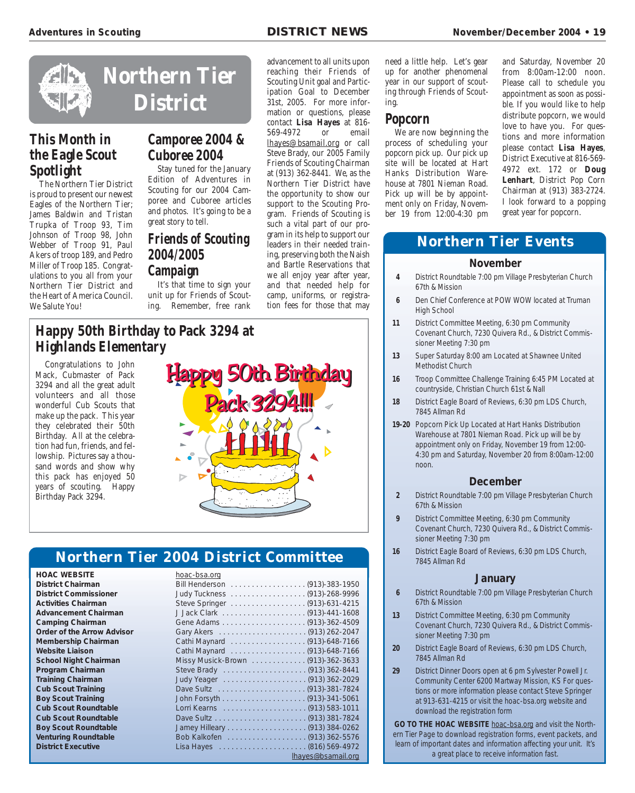

### **This Month in the Eagle Scout Spotlight**

The Northern Tier District is proud to present our newest Eagles of the Northern Tier; James Baldwin and Tristan Trupka of Troop 93, Tim Johnson of Troop 98, John Webber of Troop 91, Paul Akers of troop 189, and Pedro Miller of Troop 185. Congratulations to you all from your Northern Tier District and the Heart of America Council. We Salute You!

# **Camporee 2004 & Cuboree 2004**

Stay tuned for the January Edition of Adventures in Scouting for our 2004 Camporee and Cuboree articles and photos. It's going to be a great story to tell.

### **Friends of Scouting 2004/2005 Campaign**

It's that time to sign your unit up for Friends of Scouting. Remember, free rank

advancement to all units upon reaching their Friends of Scouting Unit goal and Participation Goal to December 31st, 2005. For more information or questions, please contact **Lisa Hayes** at 816- 569-4972 or email lhayes@bsamail.org or call Steve Brady, our 2005 Family Friends of Scouting Chairman at (913) 362-8441. We, as the Northern Tier District have the opportunity to show our support to the Scouting Program. Friends of Scouting is such a vital part of our program in its help to support our leaders in their needed training, preserving both the Naish and Bartle Reservations that we all enjoy year after year, and that needed help for camp, uniforms, or registration fees for those that may

need a little help. Let's gear up for another phenomenal year in our support of scouting through Friends of Scouting.

### **Popcorn**

We are now beginning the process of scheduling your popcorn pick up. Our pick up site will be located at Hart Hanks Distribution Warehouse at 7801 Nieman Road. Pick up will be by appointment only on Friday, November 19 from 12:00-4:30 pm and Saturday, November 20 from 8:00am-12:00 noon. Please call to schedule you appointment as soon as possible. If you would like to help distribute popcorn, we would love to have you. For questions and more information please contact **Lisa Hayes**, District Executive at 816-569- 4972 ext. 172 or **Doug Lenhart**, District Pop Corn Chairman at (913) 383-2724. I look forward to a popping great year for popcorn.

### **Northern Tier Events**

### **November**

- **4** District Roundtable 7:00 pm Village Presbyterian Church 67th & Mission
- **6** Den Chief Conference at POW WOW located at Truman High School
- **11** District Committee Meeting, 6:30 pm Community Covenant Church, 7230 Quivera Rd., & District Commissioner Meeting 7:30 pm
- **13** Super Saturday 8:00 am Located at Shawnee United Methodist Church
- **16** Troop Committee Challenge Training 6:45 PM Located at countryside, Christian Church 61st & Nall
- **18** District Eagle Board of Reviews, 6:30 pm LDS Church, 7845 Allman Rd
- **19-20** Popcorn Pick Up Located at Hart Hanks Distribution Warehouse at 7801 Nieman Road. Pick up will be by appointment only on Friday, November 19 from 12:00- 4:30 pm and Saturday, November 20 from 8:00am-12:00 noon.

### **December**

- **2** District Roundtable 7:00 pm Village Presbyterian Church 67th & Mission
- **9** District Committee Meeting, 6:30 pm Community Covenant Church, 7230 Quivera Rd., & District Commissioner Meeting 7:30 pm
- **16** District Eagle Board of Reviews, 6:30 pm LDS Church, 7845 Allman Rd

### **January**

- **6** District Roundtable 7:00 pm Village Presbyterian Church 67th & Mission
- **13** District Committee Meeting, 6:30 pm Community Covenant Church, 7230 Quivera Rd., & District Commissioner Meeting 7:30 pm
- **20** District Eagle Board of Reviews, 6:30 pm LDS Church, 7845 Allman Rd
- **29** District Dinner Doors open at 6 pm Sylvester Powell Jr. Community Center 6200 Martway Mission, KS For questions or more information please contact Steve Springer at 913-631-4215 or visit the hoac-bsa.org website and download the registration form

**GO TO THE HOAC WEBSITE** hoac-bsa.org and visit the Northern Tier Page to download registration forms, event packets, and learn of important dates and information affecting your unit. It's a great place to receive information fast.

### **Happy 50th Birthday to Pack 3294 at Highlands Elementary**

Congratulations to John Mack, Cubmaster of Pack 3294 and all the great adult volunteers and all those wonderful Cub Scouts that make up the pack. This year they celebrated their 50th Birthday. All at the celebration had fun, friends, and fellowship. Pictures say a thousand words and show why this pack has enjoyed 50 years of scouting. Happy Birthday Pack 3294.



### **Northern Tier**

**HOAC WEBSITE District Chairman District Commissioner Activities Chairman Advancement Chairman Camping Chairman Order of the Arrow Advisor Membership Chairman Website Liaison School Night Chairman Program Chairman Training Chairman Cub Scout Training Boy Scout Training Cub Scout Roundtable Cub Scout Roundtable Boy Scout Roundtable Venturing Roundtable District Executive** 

| 2004 District Committee           |                    |
|-----------------------------------|--------------------|
| hoac-bsa.org                      |                    |
|                                   |                    |
| <b>Judy Tuckness</b>              | . (913)-268-9996   |
| Steve Springer                    | . (913)-631-4215   |
|                                   |                    |
|                                   |                    |
|                                   |                    |
| Cathi Maynard (913)-648-7166      |                    |
| Cathi Maynard (913)-648-7166      |                    |
| Missy Musick-Brown (913)-362-3633 |                    |
|                                   |                    |
|                                   |                    |
|                                   |                    |
|                                   |                    |
|                                   |                    |
|                                   |                    |
|                                   |                    |
|                                   |                    |
| Lisa Hayes  (816) 569-4972        |                    |
|                                   | lhayes@bsamail.org |
|                                   |                    |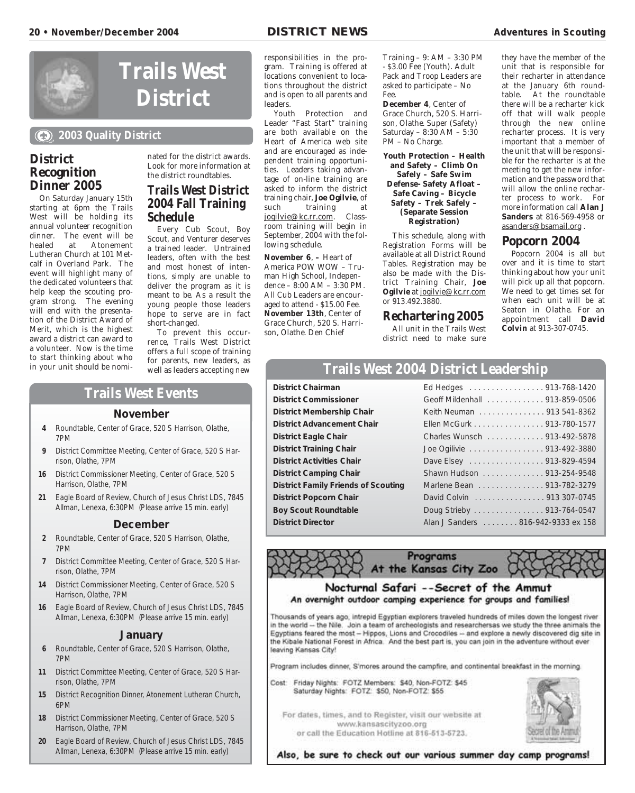

# **Trails West District**

### **2003 Quality District**

### **District Recognition Dinner 2005**

On Saturday January 15th starting at 6pm the Trails West will be holding its annual volunteer recognition dinner. The event will be healed at Atonement Lutheran Church at 101 Metcalf in Overland Park. The event will highlight many of the dedicated volunteers that help keep the scouting program strong. The evening will end with the presentation of the District Award of Merit, which is the highest award a district can award to a volunteer. Now is the time to start thinking about who in your unit should be nomi-

nated for the district awards. Look for more information at the district roundtables.

### **Trails West District 2004 Fall Training Schedule**

Every Cub Scout, Boy Scout, and Venturer deserves a trained leader. Untrained leaders, often with the best and most honest of intentions, simply are unable to deliver the program as it is meant to be. As a result the young people those leaders hope to serve are in fact short-changed.

To prevent this occurrence, Trails West District offers a full scope of training for parents, new leaders, as well as leaders accepting new

### responsibilities in the program. Training is offered at locations convenient to locations throughout the district and is open to all parents and **leaders**

Youth Protection and Leader "Fast Start" training are both available on the Heart of America web site and are encouraged as independent training opportunities. Leaders taking advantage of on-line training are asked to inform the district training chair, **Joe Ogilvie**, of training at jogilvie@kc.rr.com. Classroom training will begin in September, 2004 with the following schedule.

**November 6. – Heart of** America POW WOW – Truman High School, Independence – 8:00 AM – 3:30 PM. All Cub Leaders are encouraged to attend - \$15.00 Fee. **November 13th**, Center of Grace Church, 520 S. Harrison, Olathe. Den Chief

Training – 9: AM – 3:30 PM - \$3.00 Fee (Youth). Adult Pack and Troop Leaders are asked to participate – No Fee.

**December 4**, Center of Grace Church, 520 S. Harrison, Olathe. Super (Safety) Saturday – 8:30 AM – 5:30 PM – No Charge.

**Youth Protection – Health and Safety – Climb On Safely – Safe Swim Defense- Safety Afloat – Safe Caving – Bicycle Safety – Trek Safely – (Separate Session Registration)**

This schedule, along with Registration Forms will be available at all District Round Tables. Registration may be also be made with the District Training Chair, **Joe Ogilvie** at jogilvie@kc.rr.com or 913.492.3880.

### **Rechartering 2005**

All unit in the Trails West district need to make sure

they have the member of the unit that is responsible for their recharter in attendance at the January 6th roundtable. At the roundtable there will be a recharter kick off that will walk people through the new online recharter process. It is very important that a member of the unit that will be responsible for the recharter is at the meeting to get the new information and the password that will allow the online recharter process to work. For more information call **Alan J Sanders** at 816-569-4958 or asanders@bsamail.org .

### **Popcorn 2004**

Popcorn 2004 is all but over and it is time to start thinking about how your unit will pick up all that popcorn. We need to get times set for when each unit will be at Seaton in Olathe. For an appointment call **David Colvin** at 913-307-0745.

### **Trails West 2004 District Leadership**

**District Chairman District Commissioner District Membership Chair District Advancement Chair District Eagle Chair District Training Chair District Activities Chair District Camping Chair**  $\blacksquare$ **District Family Friends of Scouting District Popcorn Chair Boy Scout Roundtable District Director** 

| Ed Hedges 913-768-1420             |  |
|------------------------------------|--|
| Geoff Mildenhall 913-859-0506      |  |
| Keith Neuman 913 541-8362          |  |
| Ellen McGurk 913-780-1577          |  |
| Charles Wunsch 913-492-5878        |  |
| Joe Ogilivie 913-492-3880          |  |
| Dave Elsey 913-829-4594            |  |
| Shawn Hudson 913-254-9548          |  |
| Marlene Bean 913-782-3279          |  |
| David Colvin 913 307-0745          |  |
| Doug Strieby 913-764-0547          |  |
| Alan J Sanders 816-942-9333 ex 158 |  |
|                                    |  |

Programs At the Kansas City Zoo



### Nocturnal Safari --Secret of the Ammut An overnight outdoor camping experience for groups and families!

Thousands of years ago, intrepid Egyptian explorers traveled hundreds of miles down the longest river in the world -- the Nile. Join a team of archeologists and researchersas we study the three animals the Egyptians feared the most - Hippos, Lions and Crocodiles -- and explore a newly discovered dig site in the Kibale National Forest in Africa. And the best part is, you can join in the adventure without ever leaving Kansas City!

Program includes dinner, S'mores around the campfire, and continental breakfast in the morning.

Cost: Friday Nights: FOTZ Members: \$40, Non-FOTZ: \$45 Saturday Nights: FOTZ: \$50, Non-FOTZ: \$55

For dates, times, and to Register, visit our website at www.kansascityzoo.org or call the Education Hotline at 816-513-5723.



Also, be sure to check out our various summer day camp programs!

### **Trails West Events**

### **November**

- **4** Roundtable, Center of Grace, 520 S Harrison, Olathe, 7PM
- **9** District Committee Meeting, Center of Grace, 520 S Harrison, Olathe, 7PM
- **16** District Commissioner Meeting, Center of Grace, 520 S Harrison, Olathe, 7PM
- **21** Eagle Board of Review, Church of Jesus Christ LDS, 7845 Allman, Lenexa, 6:30PM (Please arrive 15 min. early)

### **December**

- **2** Roundtable, Center of Grace, 520 S Harrison, Olathe, 7PM
- **7** District Committee Meeting, Center of Grace, 520 S Harrison, Olathe, 7PM
- **14** District Commissioner Meeting, Center of Grace, 520 S Harrison, Olathe, 7PM
- **16** Eagle Board of Review, Church of Jesus Christ LDS, 7845 Allman, Lenexa, 6:30PM (Please arrive 15 min. early)

### **January**

- **6** Roundtable, Center of Grace, 520 S Harrison, Olathe, 7PM
- **11** District Committee Meeting, Center of Grace, 520 S Harrison, Olathe, 7PM
- **15** District Recognition Dinner, Atonement Lutheran Church, 6PM
- **18** District Commissioner Meeting, Center of Grace, 520 S Harrison, Olathe, 7PM
- **20** Eagle Board of Review, Church of Jesus Christ LDS, 7845 Allman, Lenexa, 6:30PM (Please arrive 15 min. early)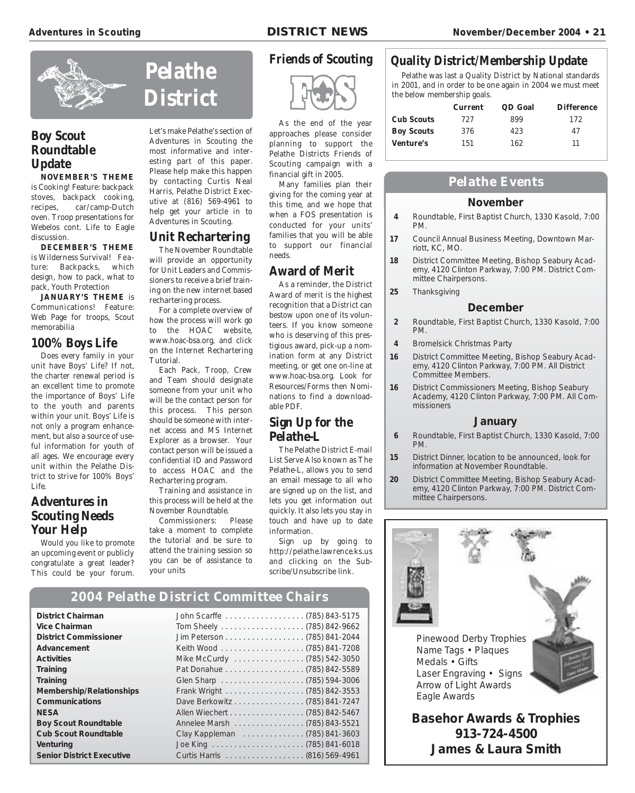

### **Boy Scout Roundtable Update**

**NOVEMBER'S THEME** is Cooking! Feature: backpack stoves, backpack cooking, recipes, car/camp-Dutch oven. Troop presentations for Webelos cont. Life to Eagle discussion.

**DECEMBER'S THEME** is Wilderness Survival! Feature: Backpacks, which design, how to pack, what to pack, Youth Protection

**JANUARY'S THEME** is Communications! Feature: Web Page for troops, Scout memorabilia

### **100% Boys Life**

Does every family in your unit have Boys' Life? If not, the charter renewal period is an excellent time to promote the importance of Boys' Life to the youth and parents within your unit. Boys' Life is not only a program enhancement, but also a source of useful information for youth of all ages. We encourage every unit within the Pelathe District to strive for 100% Boys' Life.

### **Adventures in Scouting Needs Your Help**

Would you like to promote an upcoming event or publicly congratulate a great leader? This could be your forum.

# **Pelathe District**

Let's make Pelathe's section of Adventures in Scouting the most informative and interesting part of this paper. Please help make this happen by contacting Curtis Neal Harris, Pelathe District Executive at (816) 569-4961 to help get your article in to Adventures in Scouting.

### **Unit Rechartering**

The November Roundtable will provide an opportunity for Unit Leaders and Commissioners to receive a brief training on the new internet based rechartering process.

For a complete overview of how the process will work go to the HOAC website, www.hoac-bsa.org, and click on the Internet Rechartering Tutorial.

Each Pack, Troop, Crew and Team should designate someone from your unit who will be the contact person for this process. This person should be someone with internet access and MS Internet Explorer as a browser. Your contact person will be issued a confidential ID and Password to access HOAC and the Rechartering program.

Training and assistance in this process will be held at the November Roundtable.

Commissioners: Please take a moment to complete the tutorial and be sure to attend the training session so you can be of assistance to your units

**2004 Pelathe District Committee Chairs**

### **Friends of Scouting**



As the end of the year approaches please consider planning to support the Pelathe Districts Friends of Scouting campaign with a financial gift in 2005.

Many families plan their giving for the coming year at this time, and we hope that when a FOS presentation is conducted for your units' families that you will be able to support our financial needs.

### **Award of Merit**

As a reminder, the District Award of merit is the highest recognition that a District can bestow upon one of its volunteers. If you know someone who is deserving of this prestigious award, pick-up a nomination form at any District meeting, or get one on-line at www.hoac-bsa.org. Look for Resources/Forms then Nominations to find a downloadable PDF.

### **Sign Up for the Pelathe-L**

The Pelathe District E-mail List Serve Also known as The Pelathe-L, allows you to send an email message to all who are signed up on the list, and lets you get information out quickly. It also lets you stay in touch and have up to date information.

Sign up by going to http://pelathe.lawrence.ks.us and clicking on the Subscribe/Unsubscribe link.

### **Quality District/Membership Update**

Pelathe was last a Quality District by National standards in 2001, and in order to be one again in 2004 we must meet the below membership goals.

|                   | <b>Current</b> | QD Goal | <b>Difference</b> |
|-------------------|----------------|---------|-------------------|
| <b>Cub Scouts</b> | 727            | 899     | 172               |
| <b>Boy Scouts</b> | 376            | 423     | 47                |
| <b>Venture's</b>  | 151            | 162     | 11                |

### **Pelathe Events**

### **November**

- **4** Roundtable, First Baptist Church, 1330 Kasold, 7:00 PM.
- **17** Council Annual Business Meeting, Downtown Marriott, KC, MO.
- **18** District Committee Meeting, Bishop Seabury Academy, 4120 Clinton Parkway, 7:00 PM. District Committee Chairpersons.
- **25** Thanksgiving

### **December**

- **2** Roundtable, First Baptist Church, 1330 Kasold, 7:00 PM.
- **4** Bromelsick Christmas Party
- **16** District Committee Meeting, Bishop Seabury Academy, 4120 Clinton Parkway, 7:00 PM. All District Committee Members.
- **16** District Commissioners Meeting, Bishop Seabury Academy, 4120 Clinton Parkway, 7:00 PM. All Commissioners

### **January**

- **6** Roundtable, First Baptist Church, 1330 Kasold, 7:00 PM.
- **15** District Dinner, location to be announced, look for information at November Roundtable.
- **20** District Committee Meeting, Bishop Seabury Academy, 4120 Clinton Parkway, 7:00 PM. District Committee Chairpersons.



| <b>District Chairman</b>         |                               |  |
|----------------------------------|-------------------------------|--|
| <b>Vice Chairman</b>             |                               |  |
| <b>District Commissioner</b>     |                               |  |
| Advancement                      |                               |  |
| <b>Activities</b>                | Mike McCurdy (785) 542-3050   |  |
| Training                         |                               |  |
| Training                         |                               |  |
| Membership/Relationships         |                               |  |
| Communications                   | Dave Berkowitz (785) 841-7247 |  |
| <b>NESA</b>                      |                               |  |
| <b>Boy Scout Roundtable</b>      | Annelee Marsh (785) 843-5521  |  |
| <b>Cub Scout Roundtable</b>      | Clay Kappleman (785) 841-3603 |  |
| Venturing                        |                               |  |
| <b>Senior District Executive</b> |                               |  |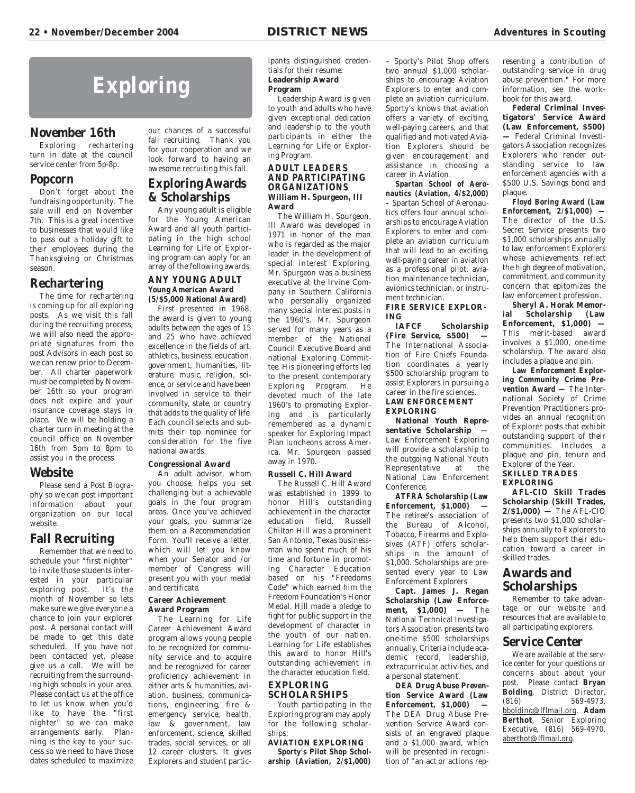# **Exploring**

### **November 16th**

Exploring rechartering turn in date at the council service center from 5p-8p.

### **Popcorn**

Don't forget about the fundraising opportunity. The sale will end on November 7th. This is a great incentive to businesses that would like to pass out a holiday gift to their employees during the Thanksgiving or Christmas season.

### **Rechartering**

The time for rechartering is coming up for all exploring posts. As we visit this fall during the recruiting process, we will also need the appropriate signatures from the post Advisors in each post so we can renew prior to December. All charter paperwork must be completed by November 16th so your program does not expire and your insurance coverage stays in place. We will be holding a charter turn in meeting at the council office on November 16th from 5pm to 8pm to assist you in the process.

### **Website**

Please send a Post Biography so we can post important information about your organization on our local website.

### **Fall Recruiting**

Remember that we need to schedule your "first nighter" to invite those students interested in your particular exploring post. It's the month of November so lets make sure we give everyone a chance to join your explorer post. A personal contact will be made to get this date scheduled. If you have not been contacted yet, please give us a call. We will be recruiting from the surrounding high schools in your area. Please contact us at the office to let us know when you'd like to have the "first nighter" so we can make arrangements early. Planning is the key to your success so we need to have those dates scheduled to maximize

our chances of a successful fall recruiting. Thank you for your cooperation and we look forward to having an awesome recruiting this fall.

### **Exploring Awards & Scholarships**

Any young adult is eligible for the Young American Award and all youth participating in the high school Learning for Life or Exploring program can apply for an array of the following awards.

### **ANY YOUNG ADULT Young American Award (5/\$5,000 National Award)**

First presented in 1968, the award is given to young adults between the ages of 15 and 25 who have achieved excellence in the fields of art, athletics, business, education, government, humanities, literature, music, religion, science, or service and have been involved in service to their community, state, or country that adds to the quality of life. Each council selects and submits their top nominee for consideration for the five national awards.

### **Congressional Award**

An adult advisor, whom you choose, helps you set challenging but a achievable goals in the four program areas. Once you've achieved your goals, you summarize them on a Recommendation Form. You'll receive a letter, which will let you know when your Senator and /or member of Congress will present you with your medal and certificate.

### **Career Achievement Award Program**

The Learning for Life Career Achievement Award program allows young people to be recognized for community service and to acquire and be recognized for career proficiency achievement in either arts & humanities, aviation, business, communications, engineering, fire & emergency service, health, law & government, law enforcement, science, skilled trades, social services, or all 12 career clusters. It gives Explorers and student participants distinguished credentials for their resume. **Leadership Award Program** 

Leadership Award is given to youth and adults who have given exceptional dedication and leadership to the youth participants in either the Learning for Life or Exploring Program.

### **ADULT LEADERS AND PARTICIPATING ORGANIZATIONS William H. Spurgeon, III Award**

The William H. Spurgeon, III Award was developed in 1971 in honor of the man who is regarded as the major leader in the development of special interest Exploring. Mr. Spurgeon was a business executive at the Irvine Company in Southern California who personally organized many special interest posts in the 1960's. Mr. Spurgeon served for many years as a member of the National Council Executive Board and national Exploring Committee. His pioneering efforts led to the present contemporary Exploring Program. He devoted much of the late 1960's to promoting Exploring and is particularly remembered as a dynamic speaker for Exploring Impact Plan luncheons across America. Mr. Spurgeon passed away in 1970.

### **Russell C. Hill Award**

The Russell C. Hill Award was established in 1999 to honor Hill's outstanding achievement in the character education field. Russell Chilton Hill was a prominent San Antonio, Texas businessman who spent much of his time and fortune in promoting Character Education based on his "Freedoms Code" which earned him the Freedom Foundation's Honor Medal. Hill made a pledge to fight for public support in the development of character in the youth of our nation. Learning for Life establishes this award to honor Hill's outstanding achievement in the character education field.

### **EXPLORING SCHOLARSHIPS**

Youth participating in the Exploring program may apply for the following scholarships:

### **AVIATION EXPLORING**

**Sporty's Pilot Shop Scholarship (Aviation, 2/\$1,000)**

– Sporty's Pilot Shop offers two annual \$1,000 scholarships to encourage Aviation Explorers to enter and complete an aviation curriculum. Sporty's knows that aviation offers a variety of exciting, well-paying careers, and that qualified and motivated Aviation Explorers should be given encouragement and assistance in choosing a career in Aviation.

**Spartan School of Aeronautics (Aviation, 4/\$2,000) –** Spartan School of Aeronautics offers four annual scholarships to encourage Aviation Explorers to enter and complete an aviation curriculum that will lead to an exciting, well-paying career in aviation as a professional pilot, aviation maintenance technician, avionics technician, or instrument technician.

### **FIRE SERVICE EXPLOR-ING**

**Scholarship (Fire Service, \$500) —** The International Association of Fire Chiefs Foundation coordinates a yearly \$500 scholarship program to assist Explorers in pursuing a career in the fire sciences. **LAW ENFORCEMENT EXPLORING**

**National Youth Representative Scholarship** — Law Enforcement Exploring will provide a scholarship to the outgoing National Youth Representative at the National Law Enforcement Conference.

**ATFRA Scholarship (Law Enforcement, \$1,000) —** The retiree's association of the Bureau of Alcohol, Tobacco, Firearms and Explosives (ATF) offers scholarships in the amount of \$1,000. Scholarships are presented every year to Law Enforcement Explorers

**Capt. James J. Regan Scholarship (Law Enforcement, \$1,000) —** The National Technical Investigators Association presents two one-time \$500 scholarships annually. Criteria include academic record, leadership, extracurricular activities, and a personal statement.

**DEA Drug Abuse Prevention Service Award (Law Enforcement, \$1,000) —** The DEA Drug Abuse Prevention Service Award consists of an engraved plaque and a \$1,000 award, which will be presented in recognition of "an act or actions representing a contribution of outstanding service in drug abuse prevention." For more information, see the workbook for this award.

**Federal Criminal Investigators' Service Award (Law Enforcement, \$500) —** Federal Criminal Investigators Association recognizes Explorers who render outstanding service to law enforcement agencies with a \$500 U.S. Savings bond and plaque.

**Floyd Boring Award (Law Enforcement, 2/\$1,000) —** The director of the U.S. Secret Service presents two \$1,000 scholarships annually to law enforcement Explorers whose achievements reflect the high degree of motivation, commitment, and community concern that epitomizes the law enforcement profession.

**Sheryl A. Horak Memorial Scholarship (Law Enforcement, \$1,000) —** This merit-based award involves a \$1,000, one-time scholarship. The award also includes a plaque and pin.

**Law Enforcement Exploring Community Crime Pre**vention Award — The International Society of Crime Prevention Practitioners provides an annual recognition of Explorer posts that exhibit outstanding support of their communities. Includes a plaque and pin, tenure and Explorer of the Year. **SKILLED TRADES EXPLORING**

**AFL-CIO Skill Trades Scholarship (Skill Trades, 2/\$1,000) —** The AFL-CIO presents two \$1,000 scholarships annually to Explorers to help them support their education toward a career in skilled trades.

### **Awards and Scholarships**

Remember to take advantage or our website and resources that are available to all participating explorers.

### **Service Center**

We are available at the service center for your questions or concerns about about your post. Please contact **Bryan Bolding**, District Director, (816) 569-4973, bbolding@lflmail.org, **Adam Berthot**, Senior Exploring Executive, (816) 569-4970, aberthot@lflmail.org.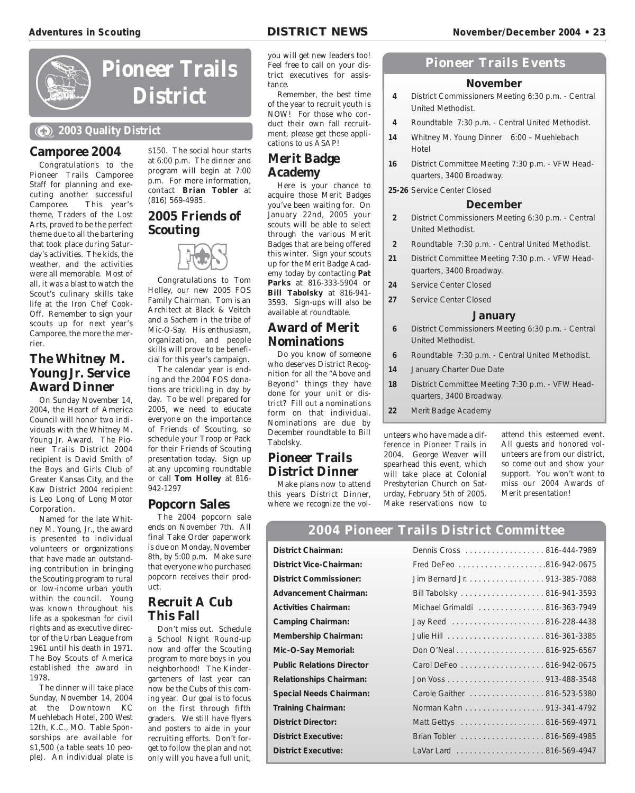

# **Pioneer Trails District**

### **2003 Quality District**

### **Camporee 2004**

Congratulations to the Pioneer Trails Camporee Staff for planning and executing another successful<br>Camporee. This year's This year's theme, Traders of the Lost Arts, proved to be the perfect theme due to all the bartering that took place during Saturday's activities. The kids, the weather, and the activities were all memorable. Most of all, it was a blast to watch the Scout's culinary skills take life at the Iron Chef Cook-Off. Remember to sign your scouts up for next year's Camporee, the more the merrier.

### **The Whitney M. Young Jr. Service Award Dinner**

On Sunday November 14, 2004, the Heart of America Council will honor two individuals with the Whitney M. Young Jr. Award. The Pioneer Trails District 2004 recipient is David Smith of the Boys and Girls Club of Greater Kansas City, and the Kaw District 2004 recipient is Leo Long of Long Motor Corporation.

Named for the late Whitney M. Young, Jr., the award is presented to individual volunteers or organizations that have made an outstanding contribution in bringing the Scouting program to rural or low-income urban youth within the council. Young was known throughout his life as a spokesman for civil rights and as executive director of the Urban League from 1961 until his death in 1971. The Boy Scouts of America established the award in 1978.

The dinner will take place Sunday, November 14, 2004 at the Downtown KC Muehlebach Hotel, 200 West 12th, K.C., MO. Table Sponsorships are available for \$1,500 (a table seats 10 people). An individual plate is

\$150. The social hour starts at 6:00 p.m. The dinner and program will begin at 7:00 p.m. For more information, contact **Brian Tobler** at (816) 569-4985.

### **2005 Friends of Scouting**



Congratulations to Tom Holley, our new 2005 FOS Family Chairman. Tom is an Architect at Black & Veitch and a Sachem in the tribe of Mic-O-Say. His enthusiasm, organization, and people skills will prove to be beneficial for this year's campaign.

The calendar year is ending and the 2004 FOS donations are trickling in day by day. To be well prepared for 2005, we need to educate everyone on the importance of Friends of Scouting, so schedule your Troop or Pack for their Friends of Scouting presentation today. Sign up at any upcoming roundtable or call **Tom Holley** at 816- 942-1297

### **Popcorn Sales**

The 2004 popcorn sale ends on November 7th. All final Take Order paperwork is due on Monday, November 8th, by 5:00 p.m. Make sure that everyone who purchased popcorn receives their product.

### **Recruit A Cub This Fall**

Don't miss out. Schedule a School Night Round-up now and offer the Scouting program to more boys in you neighborhood! The Kindergarteners of last year can now be the Cubs of this coming year. Our goal is to focus on the first through fifth graders. We still have flyers and posters to aide in your recruiting efforts. Don't forget to follow the plan and not only will you have a full unit,

you will get new leaders too! Feel free to call on your district executives for assistance.

Remember, the best time of the year to recruit youth is NOW! For those who conduct their own fall recruitment, please get those applications to us ASAP!

### **Merit Badge Academy**

Here is your chance to acquire those Merit Badges you've been waiting for. On January 22nd, 2005 your scouts will be able to select through the various Merit Badges that are being offered this winter. Sign your scouts up for the Merit Badge Academy today by contacting **Pat Parks** at 816-333-5904 or **Bill Tabolsky** at 816-941- 3593. Sign-ups will also be available at roundtable.

### **Award of Merit Nominations**

Do you know of someone who deserves District Recognition for all the "Above and Beyond" things they have done for your unit or district? Fill out a nominations form on that individual. Nominations are due by December roundtable to Bill Tabolsky.

### **Pioneer Trails District Dinner**

Make plans now to attend this years District Dinner, where we recognize the vol-

### **Pioneer Trails Events**

### **November**

- **4** District Commissioners Meeting 6:30 p.m. Central United Methodist.
- **4** Roundtable 7:30 p.m. Central United Methodist.
- **14** Whitney M. Young Dinner 6:00 Muehlebach Hotel
- **16** District Committee Meeting 7:30 p.m. VFW Headquarters, 3400 Broadway.

**25-26** Service Center Closed

### **December**

- **2** District Commissioners Meeting 6:30 p.m. Central United Methodist.
- **2** Roundtable 7:30 p.m. Central United Methodist.
- **21** District Committee Meeting 7:30 p.m. VFW Headquarters, 3400 Broadway.
- **24** Service Center Closed
- **27** Service Center Closed

### **January**

- **6** District Commissioners Meeting 6:30 p.m. Central United Methodist.
- **6** Roundtable 7:30 p.m. Central United Methodist.
- **14** January Charter Due Date
- **18** District Committee Meeting 7:30 p.m. VFW Headquarters, 3400 Broadway.
- **22** Merit Badge Academy

unteers who have made a difference in Pioneer Trails in 2004. George Weaver will spearhead this event, which will take place at Colonial Presbyterian Church on Saturday, February 5th of 2005. Make reservations now to

attend this esteemed event. All guests and honored volunteers are from our district, so come out and show your support. You won't want to miss our 2004 Awards of Merit presentation!

### **2004 Pioneer Trails District Committee**

| District Chairman:               |
|----------------------------------|
| District Vice-Chairman:          |
| District Commissioner:           |
| <b>Advancement Chairman:</b>     |
| <b>Activities Chairman:</b>      |
| Camping Chairman:                |
| Membership Chairman:             |
| Mic-O-Say Memorial:              |
| <b>Public Relations Director</b> |
| Relationships Chairman:          |
| Special Needs Chairman:          |
| <b>Training Chairman:</b>        |
| District Director:               |
| <b>District Executive:</b>       |
| District Executive:              |

| District Vice-Chairman:<br>District Commissioner:<br>Jim Bernard Jr. 913-385-7088<br>Advancement Chairman:<br>Bill Tabolsky 816-941-3593<br><b>Activities Chairman:</b><br>Michael Grimaldi 816-363-7949<br>Camping Chairman:<br>Membership Chairman:<br>Don O'Neal 816-925-6567<br>Mic-O-Say Memorial:<br><b>Public Relations Director</b><br>Carol DeFeo 816-942-0675<br>Relationships Chairman:<br><b>Special Needs Chairman:</b><br>Carole Gaither 816-523-5380<br>Norman Kahn 913-341-4792<br><b>Training Chairman:</b><br><b>District Director:</b><br>Brian Tobler 816-569-4985<br><b>District Executive:</b><br><b>District Executive:</b> | District Chairman: | Dennis Cross 816-444-7989 |  |
|----------------------------------------------------------------------------------------------------------------------------------------------------------------------------------------------------------------------------------------------------------------------------------------------------------------------------------------------------------------------------------------------------------------------------------------------------------------------------------------------------------------------------------------------------------------------------------------------------------------------------------------------------|--------------------|---------------------------|--|
|                                                                                                                                                                                                                                                                                                                                                                                                                                                                                                                                                                                                                                                    |                    |                           |  |
|                                                                                                                                                                                                                                                                                                                                                                                                                                                                                                                                                                                                                                                    |                    |                           |  |
|                                                                                                                                                                                                                                                                                                                                                                                                                                                                                                                                                                                                                                                    |                    |                           |  |
|                                                                                                                                                                                                                                                                                                                                                                                                                                                                                                                                                                                                                                                    |                    |                           |  |
|                                                                                                                                                                                                                                                                                                                                                                                                                                                                                                                                                                                                                                                    |                    |                           |  |
|                                                                                                                                                                                                                                                                                                                                                                                                                                                                                                                                                                                                                                                    |                    |                           |  |
|                                                                                                                                                                                                                                                                                                                                                                                                                                                                                                                                                                                                                                                    |                    |                           |  |
|                                                                                                                                                                                                                                                                                                                                                                                                                                                                                                                                                                                                                                                    |                    |                           |  |
|                                                                                                                                                                                                                                                                                                                                                                                                                                                                                                                                                                                                                                                    |                    |                           |  |
|                                                                                                                                                                                                                                                                                                                                                                                                                                                                                                                                                                                                                                                    |                    |                           |  |
|                                                                                                                                                                                                                                                                                                                                                                                                                                                                                                                                                                                                                                                    |                    |                           |  |
|                                                                                                                                                                                                                                                                                                                                                                                                                                                                                                                                                                                                                                                    |                    |                           |  |
|                                                                                                                                                                                                                                                                                                                                                                                                                                                                                                                                                                                                                                                    |                    |                           |  |
|                                                                                                                                                                                                                                                                                                                                                                                                                                                                                                                                                                                                                                                    |                    |                           |  |